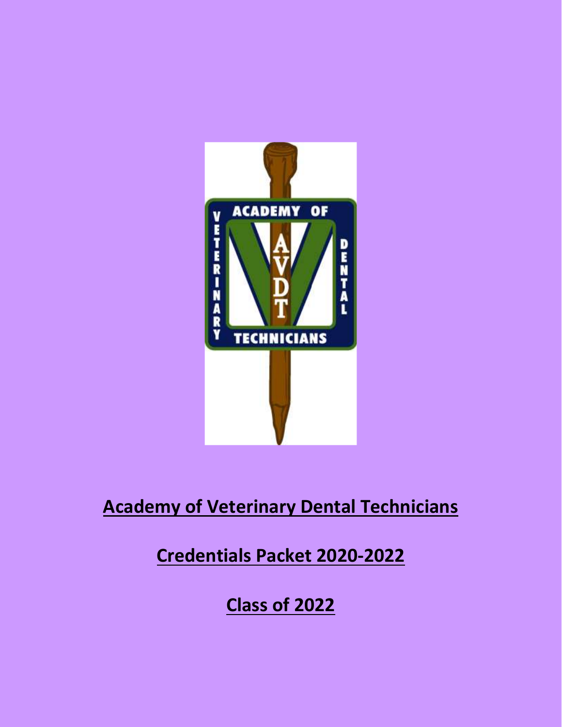

# **Academy of Veterinary Dental Technicians**

# **Credentials Packet 2020-2022**

**Class of 2022**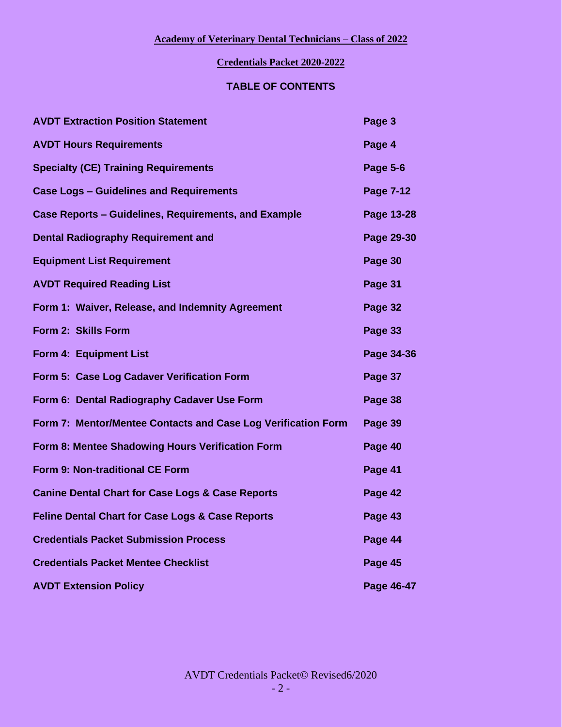### **Credentials Packet 2020-2022**

### **TABLE OF CONTENTS**

| <b>AVDT Extraction Position Statement</b>                     | Page 3          |
|---------------------------------------------------------------|-----------------|
| <b>AVDT Hours Requirements</b>                                | Page 4          |
| <b>Specialty (CE) Training Requirements</b>                   | <b>Page 5-6</b> |
| <b>Case Logs - Guidelines and Requirements</b>                | Page 7-12       |
| <b>Case Reports - Guidelines, Requirements, and Example</b>   | Page 13-28      |
| <b>Dental Radiography Requirement and</b>                     | Page 29-30      |
| <b>Equipment List Requirement</b>                             | Page 30         |
| <b>AVDT Required Reading List</b>                             | Page 31         |
| Form 1: Waiver, Release, and Indemnity Agreement              | Page 32         |
| Form 2: Skills Form                                           | Page 33         |
| Form 4: Equipment List                                        | Page 34-36      |
| Form 5: Case Log Cadaver Verification Form                    | Page 37         |
| Form 6: Dental Radiography Cadaver Use Form                   | Page 38         |
| Form 7: Mentor/Mentee Contacts and Case Log Verification Form | Page 39         |
| Form 8: Mentee Shadowing Hours Verification Form              | Page 40         |
| Form 9: Non-traditional CE Form                               | Page 41         |
| <b>Canine Dental Chart for Case Logs &amp; Case Reports</b>   | Page 42         |
| <b>Feline Dental Chart for Case Logs &amp; Case Reports</b>   | Page 43         |
| <b>Credentials Packet Submission Process</b>                  | Page 44         |
| <b>Credentials Packet Mentee Checklist</b>                    | Page 45         |
| <b>AVDT Extension Policy</b>                                  | Page 46-47      |

AVDT Credentials Packet© Revised6/2020  $- 2 -$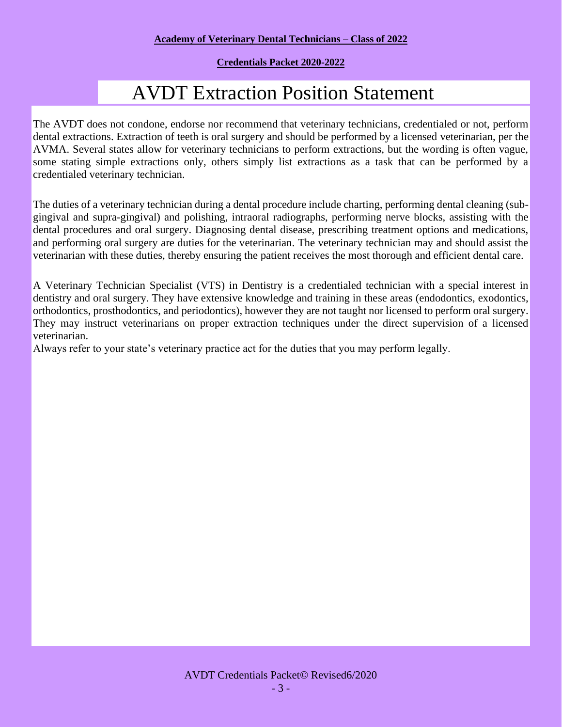### **Credentials Packet 2020-2022**

# AVDT Extraction Position Statement

The AVDT does not condone, endorse nor recommend that veterinary technicians, credentialed or not, perform dental extractions. Extraction of teeth is oral surgery and should be performed by a licensed veterinarian, per the AVMA. Several states allow for veterinary technicians to perform extractions, but the wording is often vague, some stating simple extractions only, others simply list extractions as a task that can be performed by a credentialed veterinary technician.

The duties of a veterinary technician during a dental procedure include charting, performing dental cleaning (subgingival and supra-gingival) and polishing, intraoral radiographs, performing nerve blocks, assisting with the dental procedures and oral surgery. Diagnosing dental disease, prescribing treatment options and medications, and performing oral surgery are duties for the veterinarian. The veterinary technician may and should assist the veterinarian with these duties, thereby ensuring the patient receives the most thorough and efficient dental care.

A Veterinary Technician Specialist (VTS) in Dentistry is a credentialed technician with a special interest in dentistry and oral surgery. They have extensive knowledge and training in these areas (endodontics, exodontics, orthodontics, prosthodontics, and periodontics), however they are not taught nor licensed to perform oral surgery. They may instruct veterinarians on proper extraction techniques under the direct supervision of a licensed veterinarian.

Always refer to your state's veterinary practice act for the duties that you may perform legally.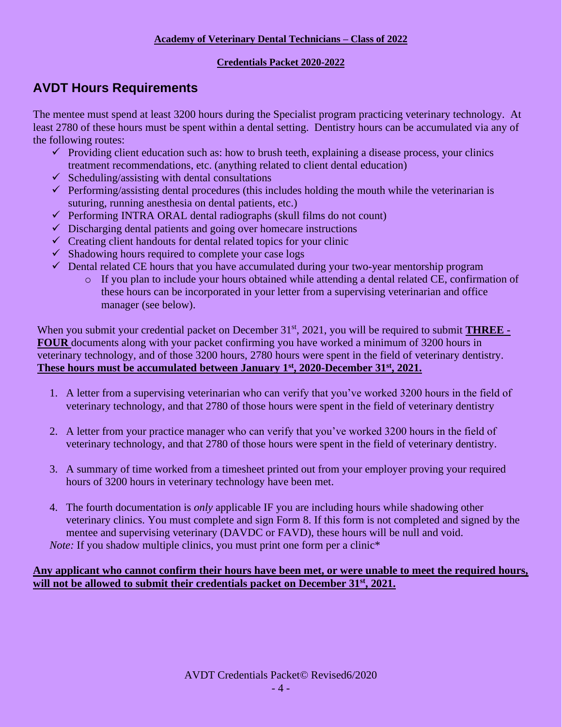### **Credentials Packet 2020-2022**

# **AVDT Hours Requirements**

The mentee must spend at least 3200 hours during the Specialist program practicing veterinary technology. At least 2780 of these hours must be spent within a dental setting. Dentistry hours can be accumulated via any of the following routes:

- $\checkmark$  Providing client education such as: how to brush teeth, explaining a disease process, your clinics treatment recommendations, etc. (anything related to client dental education)
- $\checkmark$  Scheduling/assisting with dental consultations
- $\checkmark$  Performing/assisting dental procedures (this includes holding the mouth while the veterinarian is suturing, running anesthesia on dental patients, etc.)
- $\checkmark$  Performing INTRA ORAL dental radiographs (skull films do not count)
- $\checkmark$  Discharging dental patients and going over homecare instructions
- $\checkmark$  Creating client handouts for dental related topics for your clinic
- $\checkmark$  Shadowing hours required to complete your case logs
- ✓ Dental related CE hours that you have accumulated during your two-year mentorship program
	- o If you plan to include your hours obtained while attending a dental related CE, confirmation of these hours can be incorporated in your letter from a supervising veterinarian and office manager (see below).

When you submit your credential packet on December 31<sup>st</sup>, 2021, you will be required to submit **THREE** -**FOUR** documents along with your packet confirming you have worked a minimum of 3200 hours in veterinary technology, and of those 3200 hours, 2780 hours were spent in the field of veterinary dentistry. **These hours must be accumulated between January 1st, 2020-December 31st, 2021.**

- 1. A letter from a supervising veterinarian who can verify that you've worked 3200 hours in the field of veterinary technology, and that 2780 of those hours were spent in the field of veterinary dentistry
- 2. A letter from your practice manager who can verify that you've worked 3200 hours in the field of veterinary technology, and that 2780 of those hours were spent in the field of veterinary dentistry.
- 3. A summary of time worked from a timesheet printed out from your employer proving your required hours of 3200 hours in veterinary technology have been met.
- 4. The fourth documentation is *only* applicable IF you are including hours while shadowing other veterinary clinics. You must complete and sign Form 8. If this form is not completed and signed by the mentee and supervising veterinary (DAVDC or FAVD), these hours will be null and void. *Note:* If you shadow multiple clinics, you must print one form per a clinic<sup>\*</sup>

### **Any applicant who cannot confirm their hours have been met, or were unable to meet the required hours, will not be allowed to submit their credentials packet on December 31st, 2021.**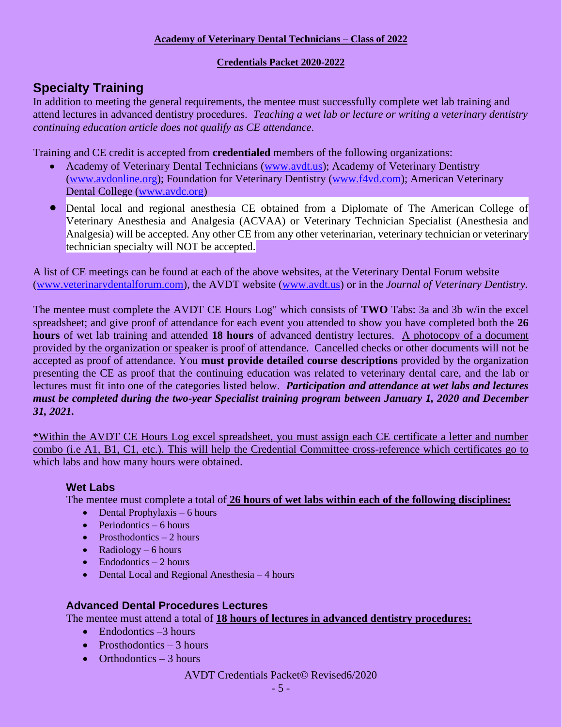### **Credentials Packet 2020-2022**

# **Specialty Training**

In addition to meeting the general requirements, the mentee must successfully complete wet lab training and attend lectures in advanced dentistry procedures. *Teaching a wet lab or lecture or writing a veterinary dentistry continuing education article does not qualify as CE attendance*.

Training and CE credit is accepted from **credentialed** members of the following organizations:

- Academy of Veterinary Dental Technicians [\(www.avdt.us\)](http://www.avdt.us/); Academy of Veterinary Dentistry [\(www.avdonline.org\)](http://www.avdonline.org/); Foundation for Veterinary Dentistry [\(www.f4vd.com\)](http://www.f4vd.com/); American Veterinary Dental College [\(www.avdc.org\)](http://www.avdc.org/)
- Dental local and regional anesthesia CE obtained from a Diplomate of The American College of Veterinary Anesthesia and Analgesia (ACVAA) or Veterinary Technician Specialist (Anesthesia and Analgesia) will be accepted. Any other CE from any other veterinarian, veterinary technician or veterinary technician specialty will NOT be accepted.

A list of CE meetings can be found at each of the above websites, at the Veterinary Dental Forum website [\(www.veterinarydentalforum.com\)](file:///F:/AVDT/AVDT%20Backup/www.veterinarydentalforum.com), the AVDT website [\(www.avdt.us\)](http://www.avdt.us/) or in the *Journal of Veterinary Dentistry.*

The mentee must complete the AVDT CE Hours Log" which consists of **TWO** Tabs: 3a and 3b w/in the excel spreadsheet; and give proof of attendance for each event you attended to show you have completed both the **26 hours** of wet lab training and attended **18 hours** of advanced dentistry lectures. A photocopy of a document provided by the organization or speaker is proof of attendance. Cancelled checks or other documents will not be accepted as proof of attendance. You **must provide detailed course descriptions** provided by the organization presenting the CE as proof that the continuing education was related to veterinary dental care, and the lab or lectures must fit into one of the categories listed below. *Participation and attendance at wet labs and lectures must be completed during the two-year Specialist training program between January 1, 2020 and December 31, 2021.*

\*Within the AVDT CE Hours Log excel spreadsheet, you must assign each CE certificate a letter and number combo (i.e A1, B1, C1, etc.). This will help the Credential Committee cross-reference which certificates go to which labs and how many hours were obtained.

### **Wet Labs**

The mentee must complete a total of **26 hours of wet labs within each of the following disciplines:** 

- Dental Prophylaxis  $-6$  hours
- $\bullet$  Periodontics 6 hours
- Prosthodontics  $-2$  hours
- Radiology 6 hours
- $\bullet$  Endodontics 2 hours
- Dental Local and Regional Anesthesia 4 hours

### **Advanced Dental Procedures Lectures**

The mentee must attend a total of **18 hours of lectures in advanced dentistry procedures:**

- Endodontics –3 hours
- Prosthodontics  $-3$  hours
- Orthodontics  $-3$  hours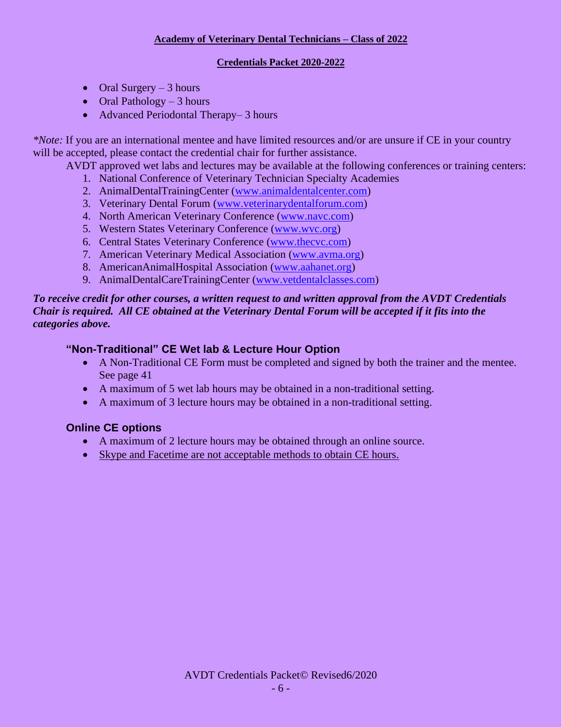### **Credentials Packet 2020-2022**

- Oral Surgery  $-3$  hours
- Oral Pathology 3 hours
- Advanced Periodontal Therapy– 3 hours

*\*Note:* If you are an international mentee and have limited resources and/or are unsure if CE in your country will be accepted, please contact the credential chair for further assistance.

- AVDT approved wet labs and lectures may be available at the following conferences or training centers:
	- 1. National Conference of Veterinary Technician Specialty Academies
	- 2. AnimalDentalTrainingCenter [\(www.animaldentalcenter.com\)](http://www.animaldentalcenter.com/)
	- 3. Veterinary Dental Forum [\(www.veterinarydentalforum.com\)](http://www.veterinarydentalforum.com/)
	- 4. North American Veterinary Conference [\(www.navc.com\)](http://www.navc.com/)
	- 5. Western States Veterinary Conference [\(www.wvc.org\)](http://www.wvc.org/)
	- 6. Central States Veterinary Conference [\(www.thecvc.com\)](http://www.thecvc.com/)
	- 7. American Veterinary Medical Association [\(www.avma.org\)](http://www.avma.org/)
	- 8. AmericanAnimalHospital Association [\(www.aahanet.org\)](http://www.aahanet.org/)
	- 9. AnimalDentalCareTrainingCenter [\(www.vetdentalclasses.com\)](http://www.vetdentalclasses.com/)

### *To receive credit for other courses, a written request to and written approval from the AVDT Credentials Chair is required. All CE obtained at the Veterinary Dental Forum will be accepted if it fits into the categories above.*

### **"Non-Traditional" CE Wet lab & Lecture Hour Option**

- A Non-Traditional CE Form must be completed and signed by both the trainer and the mentee. See page 41
- A maximum of 5 wet lab hours may be obtained in a non-traditional setting.
- A maximum of 3 lecture hours may be obtained in a non-traditional setting.

### **Online CE options**

- A maximum of 2 lecture hours may be obtained through an online source.
- Skype and Facetime are not acceptable methods to obtain CE hours.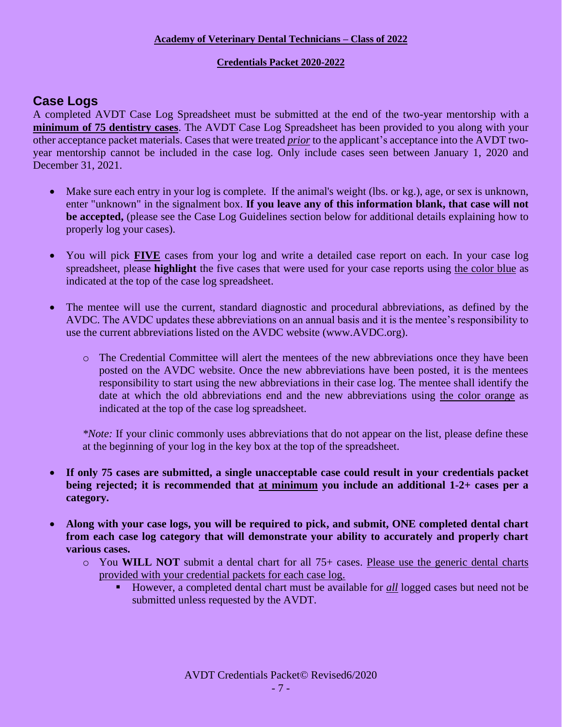### **Credentials Packet 2020-2022**

# **Case Logs**

A completed AVDT Case Log Spreadsheet must be submitted at the end of the two-year mentorship with a **minimum of 75 dentistry cases**. The AVDT Case Log Spreadsheet has been provided to you along with your other acceptance packet materials. Cases that were treated *prior* to the applicant's acceptance into the AVDT twoyear mentorship cannot be included in the case log. Only include cases seen between January 1, 2020 and December 31, 2021.

- Make sure each entry in your log is complete. If the animal's weight (lbs. or kg.), age, or sex is unknown, enter "unknown" in the signalment box. **If you leave any of this information blank, that case will not be accepted,** (please see the Case Log Guidelines section below for additional details explaining how to properly log your cases).
- You will pick **FIVE** cases from your log and write a detailed case report on each. In your case log spreadsheet, please **highlight** the five cases that were used for your case reports using the color blue as indicated at the top of the case log spreadsheet.
- The mentee will use the current, standard diagnostic and procedural abbreviations, as defined by the AVDC. The AVDC updates these abbreviations on an annual basis and it is the mentee's responsibility to use the current abbreviations listed on the AVDC website (www.AVDC.org).
	- o The Credential Committee will alert the mentees of the new abbreviations once they have been posted on the AVDC website. Once the new abbreviations have been posted, it is the mentees responsibility to start using the new abbreviations in their case log. The mentee shall identify the date at which the old abbreviations end and the new abbreviations using the color orange as indicated at the top of the case log spreadsheet.

*\*Note:* If your clinic commonly uses abbreviations that do not appear on the list, please define these at the beginning of your log in the key box at the top of the spreadsheet.

- **If only 75 cases are submitted, a single unacceptable case could result in your credentials packet being rejected; it is recommended that at minimum you include an additional 1-2+ cases per a category.**
- **Along with your case logs, you will be required to pick, and submit, ONE completed dental chart from each case log category that will demonstrate your ability to accurately and properly chart various cases.** 
	- $\circ$  You **WILL NOT** submit a dental chart for all 75+ cases. Please use the generic dental charts provided with your credential packets for each case log.
		- However, a completed dental chart must be available for *all* logged cases but need not be submitted unless requested by the AVDT.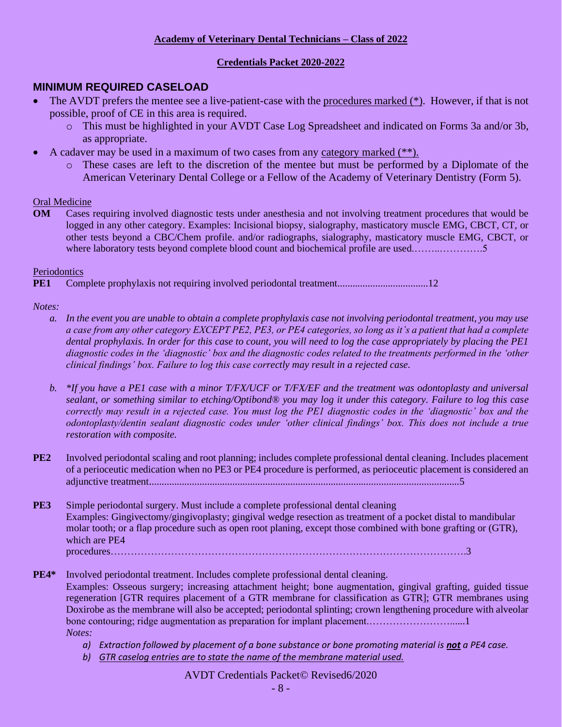### **Credentials Packet 2020-2022**

### **MINIMUM REQUIRED CASELOAD**

- The AVDT prefers the mentee see a live-patient-case with the procedures marked (\*). However, if that is not possible, proof of CE in this area is required.
	- o This must be highlighted in your AVDT Case Log Spreadsheet and indicated on Forms 3a and/or 3b, as appropriate.
- A cadaver may be used in a maximum of two cases from any category marked  $(**)$ .
	- o These cases are left to the discretion of the mentee but must be performed by a Diplomate of the American Veterinary Dental College or a Fellow of the Academy of Veterinary Dentistry (Form 5).

### Oral Medicine

**OM** Cases requiring involved diagnostic tests under anesthesia and not involving treatment procedures that would be logged in any other category. Examples: Incisional biopsy, sialography, masticatory muscle EMG, CBCT, CT, or other tests beyond a CBC/Chem profile. and/or radiographs, sialography, masticatory muscle EMG, CBCT, or where laboratory tests beyond complete blood count and biochemical profile are used..........................5

### Periodontics

**PE1** Complete prophylaxis not requiring involved periodontal treatment....................................12

### *Notes:*

- *a. In the event you are unable to obtain a complete prophylaxis case not involving periodontal treatment, you may use a case from any other category EXCEPT PE2, PE3, or PE4 categories, so long as it's a patient that had a complete dental prophylaxis. In order for this case to count, you will need to log the case appropriately by placing the PE1 diagnostic codes in the 'diagnostic' box and the diagnostic codes related to the treatments performed in the 'other clinical findings' box. Failure to log this case correctly may result in a rejected case.*
- *b. \*If you have a PE1 case with a minor T/FX/UCF or T/FX/EF and the treatment was odontoplasty and universal sealant, or something similar to etching/Optibond® you may log it under this category. Failure to log this case correctly may result in a rejected case. You must log the PE1 diagnostic codes in the 'diagnostic' box and the odontoplasty/dentin sealant diagnostic codes under 'other clinical findings' box. This does not include a true restoration with composite.*
- **PE2** Involved periodontal scaling and root planning; includes complete professional dental cleaning. Includes placement of a perioceutic medication when no PE3 or PE4 procedure is performed, as perioceutic placement is considered an adjunctive treatment...........................................................................................................................5
- **PE3** Simple periodontal surgery. Must include a complete professional dental cleaning Examples: Gingivectomy/gingivoplasty; gingival wedge resection as treatment of a pocket distal to mandibular molar tooth; or a flap procedure such as open root planing, except those combined with bone grafting or (GTR), which are PE4

procedures…………………………………………………………………………………………….3

- **PE4\*** Involved periodontal treatment. Includes complete professional dental cleaning. Examples: Osseous surgery; increasing attachment height; bone augmentation, gingival grafting, guided tissue regeneration [GTR requires placement of a GTR membrane for classification as GTR]; GTR membranes using Doxirobe as the membrane will also be accepted; periodontal splinting; crown lengthening procedure with alveolar bone contouring; ridge augmentation as preparation for implant placement.……………………......1 *Notes:* 
	- *a*) *Extraction followed by placement of a bone substance or bone promoting material is not a PE4 case.*
	- *b) GTR caselog entries are to state the name of the membrane material used.*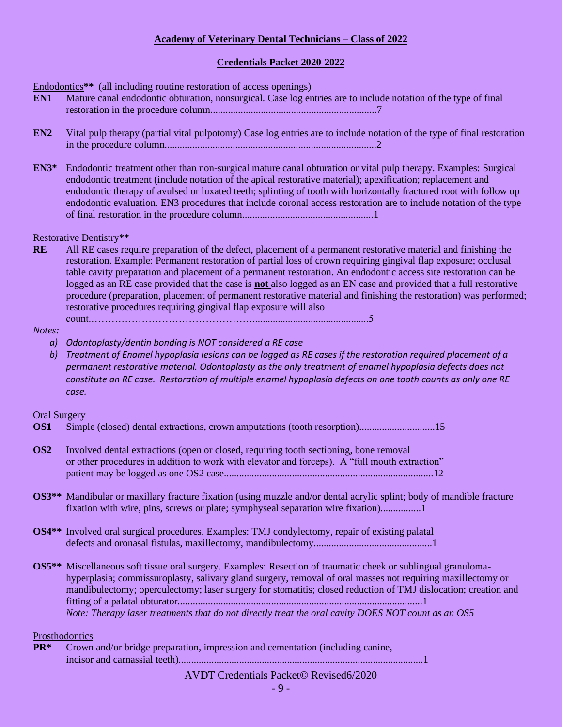### **Credentials Packet 2020-2022**

Endodontics**\*\*** (all including routine restoration of access openings)

- **EN1** Mature canal endodontic obturation, nonsurgical. Case log entries are to include notation of the type of final restoration in the procedure column..................................................................7
- **EN2** Vital pulp therapy (partial vital pulpotomy) Case log entries are to include notation of the type of final restoration in the procedure column....................................................................................2
- **EN3\*** Endodontic treatment other than non-surgical mature canal obturation or vital pulp therapy. Examples: Surgical endodontic treatment (include notation of the apical restorative material); apexification; replacement and endodontic therapy of avulsed or luxated teeth; splinting of tooth with horizontally fractured root with follow up endodontic evaluation. EN3 procedures that include coronal access restoration are to include notation of the type of final restoration in the procedure column....................................................1

Restorative Dentistry**\*\***

**RE** All RE cases require preparation of the defect, placement of a permanent restorative material and finishing the restoration. Example: Permanent restoration of partial loss of crown requiring gingival flap exposure; occlusal table cavity preparation and placement of a permanent restoration. An endodontic access site restoration can be logged as an RE case provided that the case is **not** also logged as an EN case and provided that a full restorative procedure (preparation, placement of permanent restorative material and finishing the restoration) was performed; restorative procedures requiring gingival flap exposure will also

count.…………………………………………..............................................5

*Notes:* 

- *a) Odontoplasty/dentin bonding is NOT considered a RE case*
- *b) Treatment of Enamel hypoplasia lesions can be logged as RE cases if the restoration required placement of a permanent restorative material. Odontoplasty as the only treatment of enamel hypoplasia defects does not constitute an RE case. Restoration of multiple enamel hypoplasia defects on one tooth counts as only one RE case.*

### Oral Surgery

- **OS1** Simple (closed) dental extractions, crown amputations (tooth resorption)..............................15
- **OS2** Involved dental extractions (open or closed, requiring tooth sectioning, bone removal or other procedures in addition to work with elevator and forceps). A "full mouth extraction" patient may be logged as one OS2 case...................................................................................12
- **OS3\*\*** Mandibular or maxillary fracture fixation (using muzzle and/or dental acrylic splint; body of mandible fracture fixation with wire, pins, screws or plate; symphyseal separation wire fixation)................1
- **OS4\*\*** Involved oral surgical procedures. Examples: TMJ condylectomy, repair of existing palatal defects and oronasal fistulas, maxillectomy, mandibulectomy...............................................1
- **OS5\*\*** Miscellaneous soft tissue oral surgery. Examples: Resection of traumatic cheek or sublingual granulomahyperplasia; commissuroplasty, salivary gland surgery, removal of oral masses not requiring maxillectomy or mandibulectomy; operculectomy; laser surgery for stomatitis; closed reduction of TMJ dislocation; creation and fitting of a palatal obturator.................................................................................................1 *Note: Therapy laser treatments that do not directly treat the oral cavity DOES NOT count as an OS5*

#### Prosthodontics

**PR\*** Crown and/or bridge preparation, impression and cementation (including canine, incisor and carnassial teeth).................................................................................................1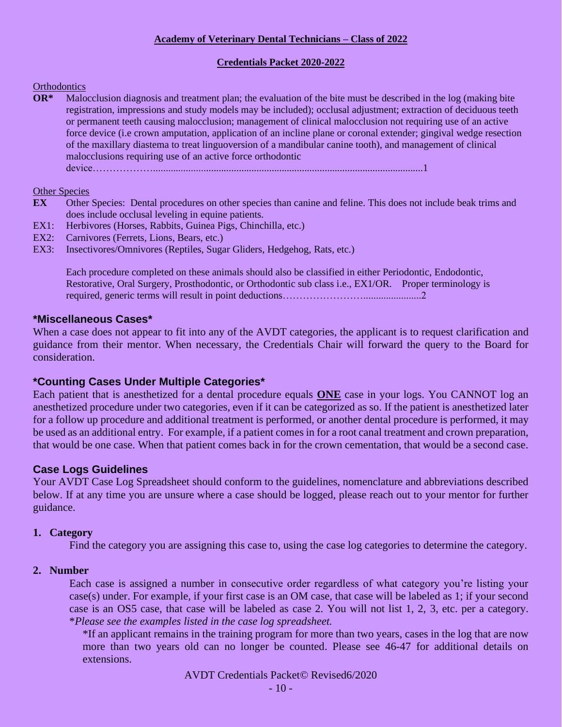### **Credentials Packet 2020-2022**

### **Orthodontics**

**OR\*** Malocclusion diagnosis and treatment plan; the evaluation of the bite must be described in the log (making bite registration, impressions and study models may be included); occlusal adjustment; extraction of deciduous teeth or permanent teeth causing malocclusion; management of clinical malocclusion not requiring use of an active force device (i.e crown amputation, application of an incline plane or coronal extender; gingival wedge resection of the maxillary diastema to treat linguoversion of a mandibular canine tooth), and management of clinical malocclusions requiring use of an active force orthodontic

device………………...........................................................................................................1

### Other Species

- **EX** Other Species: Dental procedures on other species than canine and feline. This does not include beak trims and does include occlusal leveling in equine patients.
- EX1: Herbivores (Horses, Rabbits, Guinea Pigs, Chinchilla, etc.)
- EX2: Carnivores (Ferrets, Lions, Bears, etc.)
- EX3: Insectivores/Omnivores (Reptiles, Sugar Gliders, Hedgehog, Rats, etc.)

Each procedure completed on these animals should also be classified in either Periodontic, Endodontic, Restorative, Oral Surgery, Prosthodontic, or Orthodontic sub class i.e., EX1/OR. Proper terminology is required, generic terms will result in point deductions…………………………………………………………………

### **\*Miscellaneous Cases\***

When a case does not appear to fit into any of the AVDT categories, the applicant is to request clarification and guidance from their mentor. When necessary, the Credentials Chair will forward the query to the Board for consideration.

### **\*Counting Cases Under Multiple Categories\***

Each patient that is anesthetized for a dental procedure equals **ONE** case in your logs. You CANNOT log an anesthetized procedure under two categories, even if it can be categorized as so. If the patient is anesthetized later for a follow up procedure and additional treatment is performed, or another dental procedure is performed, it may be used as an additional entry. For example, if a patient comes in for a root canal treatment and crown preparation, that would be one case. When that patient comes back in for the crown cementation, that would be a second case.

### **Case Logs Guidelines**

Your AVDT Case Log Spreadsheet should conform to the guidelines, nomenclature and abbreviations described below. If at any time you are unsure where a case should be logged, please reach out to your mentor for further guidance.

### **1. Category**

Find the category you are assigning this case to, using the case log categories to determine the category.

### **2. Number**

Each case is assigned a number in consecutive order regardless of what category you're listing your case(s) under. For example, if your first case is an OM case, that case will be labeled as 1; if your second case is an OS5 case, that case will be labeled as case 2. You will not list 1, 2, 3, etc. per a category. \**Please see the examples listed in the case log spreadsheet.*

\*If an applicant remains in the training program for more than two years, cases in the log that are now more than two years old can no longer be counted. Please see 46-47 for additional details on extensions.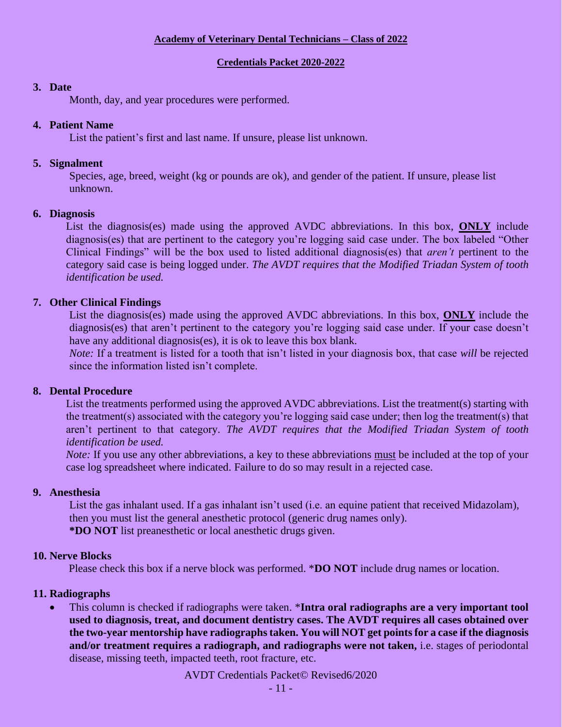### **Credentials Packet 2020-2022**

### **3. Date**

Month, day, and year procedures were performed.

### **4. Patient Name**

List the patient's first and last name. If unsure, please list unknown.

### **5. Signalment**

Species, age, breed, weight (kg or pounds are ok), and gender of the patient. If unsure, please list unknown.

### **6. Diagnosis**

List the diagnosis(es) made using the approved AVDC abbreviations. In this box, **ONLY** include diagnosis(es) that are pertinent to the category you're logging said case under. The box labeled "Other Clinical Findings" will be the box used to listed additional diagnosis(es) that *aren't* pertinent to the category said case is being logged under. *The AVDT requires that the Modified Triadan System of tooth identification be used.* 

### **7. Other Clinical Findings**

List the diagnosis(es) made using the approved AVDC abbreviations. In this box, **ONLY** include the diagnosis(es) that aren't pertinent to the category you're logging said case under. If your case doesn't have any additional diagnosis(es), it is ok to leave this box blank.

*Note:* If a treatment is listed for a tooth that isn't listed in your diagnosis box, that case *will* be rejected since the information listed isn't complete.

### **8. Dental Procedure**

List the treatments performed using the approved AVDC abbreviations. List the treatment(s) starting with the treatment(s) associated with the category you're logging said case under; then log the treatment(s) that aren't pertinent to that category. *The AVDT requires that the Modified Triadan System of tooth identification be used.* 

*Note:* If you use any other abbreviations, a key to these abbreviations must be included at the top of your case log spreadsheet where indicated. Failure to do so may result in a rejected case.

### **9. Anesthesia**

List the gas inhalant used. If a gas inhalant isn't used (i.e. an equine patient that received Midazolam), then you must list the general anesthetic protocol (generic drug names only). **\*DO NOT** list preanesthetic or local anesthetic drugs given.

### **10. Nerve Blocks**

Please check this box if a nerve block was performed. \***DO NOT** include drug names or location.

### **11. Radiographs**

• This column is checked if radiographs were taken. \***Intra oral radiographs are a very important tool used to diagnosis, treat, and document dentistry cases. The AVDT requires all cases obtained over the two-year mentorship have radiographs taken. You will NOT get points for a case if the diagnosis and/or treatment requires a radiograph, and radiographs were not taken,** i.e. stages of periodontal disease, missing teeth, impacted teeth, root fracture, etc.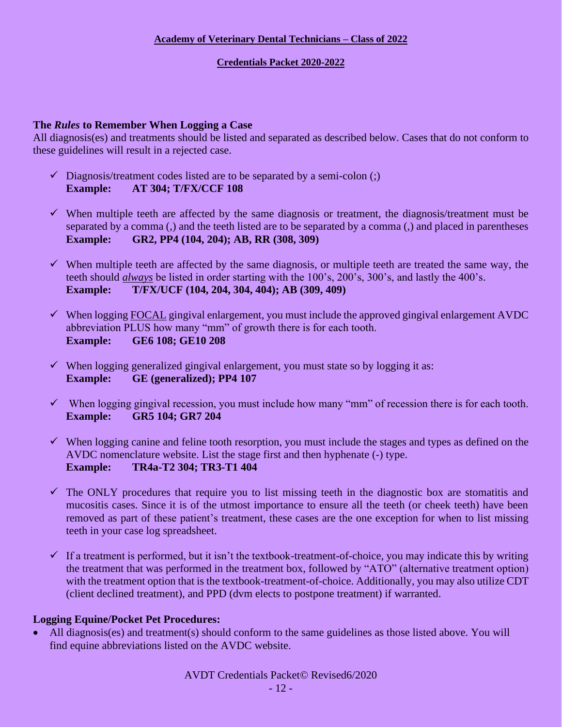### **Credentials Packet 2020-2022**

### **The** *Rules* **to Remember When Logging a Case**

All diagnosis(es) and treatments should be listed and separated as described below. Cases that do not conform to these guidelines will result in a rejected case.

- $\checkmark$  Diagnosis/treatment codes listed are to be separated by a semi-colon (;) **Example: AT 304; T/FX/CCF 108**
- $\checkmark$  When multiple teeth are affected by the same diagnosis or treatment, the diagnosis/treatment must be separated by a comma (,) and the teeth listed are to be separated by a comma (,) and placed in parentheses **Example: GR2, PP4 (104, 204); AB, RR (308, 309)**
- ✓ When multiple teeth are affected by the same diagnosis, or multiple teeth are treated the same way, the teeth should *always* be listed in order starting with the 100's, 200's, 300's, and lastly the 400's. **Example: T/FX/UCF (104, 204, 304, 404); AB (309, 409)**
- $\checkmark$  When logging FOCAL gingival enlargement, you must include the approved gingival enlargement AVDC abbreviation PLUS how many "mm" of growth there is for each tooth. **Example: GE6 108; GE10 208**
- $\checkmark$  When logging generalized gingival enlargement, you must state so by logging it as: **Example: GE (generalized); PP4 107**
- $\checkmark$  When logging gingival recession, you must include how many "mm" of recession there is for each tooth. **Example: GR5 104; GR7 204**
- $\checkmark$  When logging canine and feline tooth resorption, you must include the stages and types as defined on the AVDC nomenclature website. List the stage first and then hyphenate (-) type. **Example: TR4a-T2 304; TR3-T1 404**
- $\checkmark$  The ONLY procedures that require you to list missing teeth in the diagnostic box are stomatitis and mucositis cases. Since it is of the utmost importance to ensure all the teeth (or cheek teeth) have been removed as part of these patient's treatment, these cases are the one exception for when to list missing teeth in your case log spreadsheet.
- $\checkmark$  If a treatment is performed, but it isn't the textbook-treatment-of-choice, you may indicate this by writing the treatment that was performed in the treatment box, followed by "ATO" (alternative treatment option) with the treatment option that is the textbook-treatment-of-choice. Additionally, you may also utilize CDT (client declined treatment), and PPD (dvm elects to postpone treatment) if warranted.

### **Logging Equine/Pocket Pet Procedures:**

• All diagnosis(es) and treatment(s) should conform to the same guidelines as those listed above. You will find equine abbreviations listed on the AVDC website.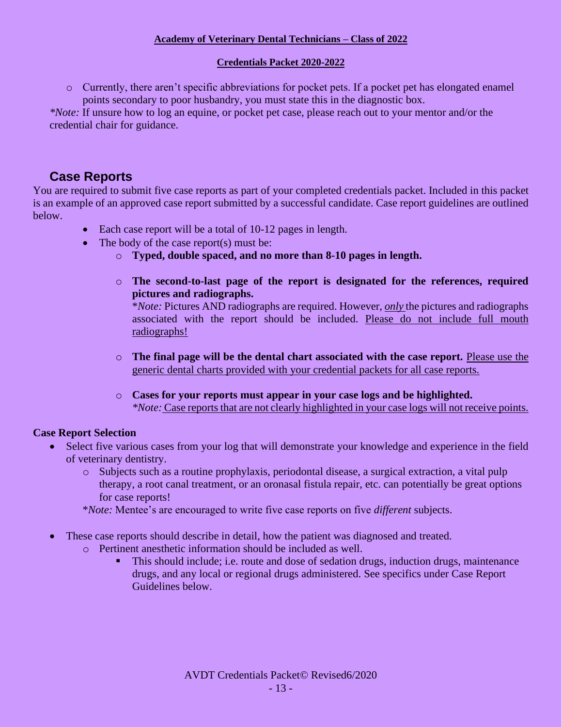### **Credentials Packet 2020-2022**

o Currently, there aren't specific abbreviations for pocket pets. If a pocket pet has elongated enamel points secondary to poor husbandry, you must state this in the diagnostic box.

*\*Note:* If unsure how to log an equine, or pocket pet case, please reach out to your mentor and/or the credential chair for guidance.

# **Case Reports**

You are required to submit five case reports as part of your completed credentials packet. Included in this packet is an example of an approved case report submitted by a successful candidate. Case report guidelines are outlined below.

- Each case report will be a total of 10-12 pages in length.
- The body of the case report(s) must be:
	- o **Typed, double spaced, and no more than 8-10 pages in length.**
	- o **The second-to-last page of the report is designated for the references, required pictures and radiographs.**

\**Note:* Pictures AND radiographs are required. However, *only* the pictures and radiographs associated with the report should be included. Please do not include full mouth radiographs!

- o **The final page will be the dental chart associated with the case report.** Please use the generic dental charts provided with your credential packets for all case reports.
- o **Cases for your reports must appear in your case logs and be highlighted.** *\*Note:* Case reports that are not clearly highlighted in your case logs will not receive points.

### **Case Report Selection**

- Select five various cases from your log that will demonstrate your knowledge and experience in the field of veterinary dentistry.
	- o Subjects such as a routine prophylaxis, periodontal disease, a surgical extraction, a vital pulp therapy, a root canal treatment, or an oronasal fistula repair, etc. can potentially be great options for case reports!
	- \**Note:* Mentee's are encouraged to write five case reports on five *different* subjects.
- These case reports should describe in detail, how the patient was diagnosed and treated.
	- o Pertinent anesthetic information should be included as well.
		- This should include; i.e. route and dose of sedation drugs, induction drugs, maintenance drugs, and any local or regional drugs administered. See specifics under Case Report Guidelines below.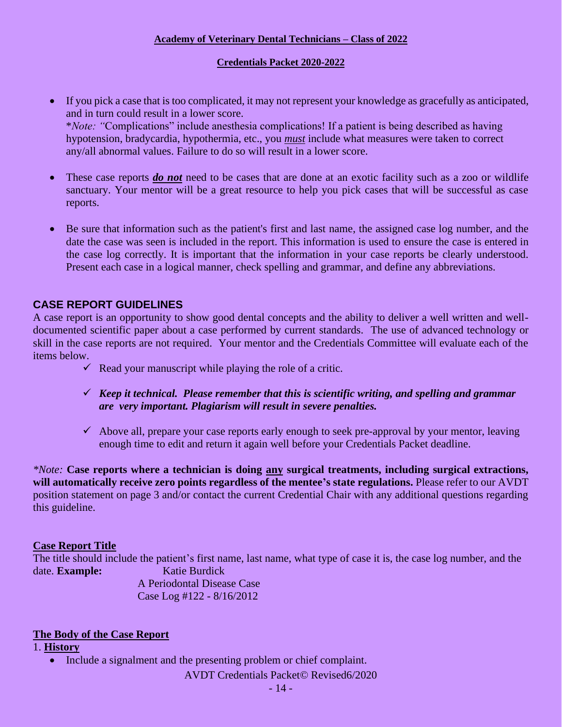### **Credentials Packet 2020-2022**

- If you pick a case that is too complicated, it may not represent your knowledge as gracefully as anticipated, and in turn could result in a lower score. \**Note: "*Complications" include anesthesia complications! If a patient is being described as having hypotension, bradycardia, hypothermia, etc., you *must* include what measures were taken to correct any/all abnormal values. Failure to do so will result in a lower score.
- These case reports *do not* need to be cases that are done at an exotic facility such as a zoo or wildlife sanctuary. Your mentor will be a great resource to help you pick cases that will be successful as case reports.
- Be sure that information such as the patient's first and last name, the assigned case log number, and the date the case was seen is included in the report. This information is used to ensure the case is entered in the case log correctly. It is important that the information in your case reports be clearly understood. Present each case in a logical manner, check spelling and grammar, and define any abbreviations.

### **CASE REPORT GUIDELINES**

A case report is an opportunity to show good dental concepts and the ability to deliver a well written and welldocumented scientific paper about a case performed by current standards. The use of advanced technology or skill in the case reports are not required. Your mentor and the Credentials Committee will evaluate each of the items below.

- $\checkmark$  Read your manuscript while playing the role of a critic.
- ✓ *Keep it technical. Please remember that this is scientific writing, and spelling and grammar are very important. Plagiarism will result in severe penalties.*
- $\checkmark$  Above all, prepare your case reports early enough to seek pre-approval by your mentor, leaving enough time to edit and return it again well before your Credentials Packet deadline.

*\*Note:* **Case reports where a technician is doing any surgical treatments, including surgical extractions, will automatically receive zero points regardless of the mentee's state regulations.** Please refer to our AVDT position statement on page 3 and/or contact the current Credential Chair with any additional questions regarding this guideline.

### **Case Report Title**

The title should include the patient's first name, last name, what type of case it is, the case log number, and the date. **Example:** Katie Burdick A Periodontal Disease Case Case Log #122 - 8/16/2012

### **The Body of the Case Report**

### 1. **History**

• Include a signalment and the presenting problem or chief complaint.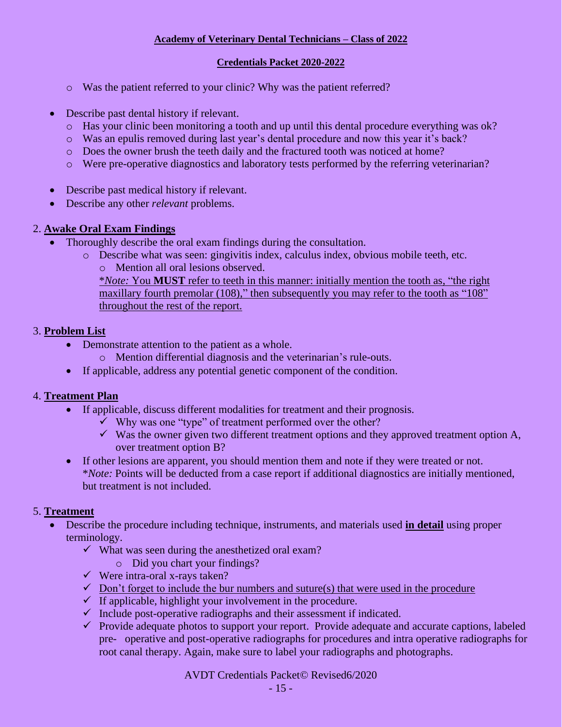### **Credentials Packet 2020-2022**

- o Was the patient referred to your clinic? Why was the patient referred?
- Describe past dental history if relevant.
	- o Has your clinic been monitoring a tooth and up until this dental procedure everything was ok?
	- o Was an epulis removed during last year's dental procedure and now this year it's back?
	- o Does the owner brush the teeth daily and the fractured tooth was noticed at home?
	- o Were pre-operative diagnostics and laboratory tests performed by the referring veterinarian?
- Describe past medical history if relevant.
- Describe any other *relevant* problems.

### 2. **Awake Oral Exam Findings**

- Thoroughly describe the oral exam findings during the consultation.
	- o Describe what was seen: gingivitis index, calculus index, obvious mobile teeth, etc. o Mention all oral lesions observed. \**Note:* You **MUST** refer to teeth in this manner: initially mention the tooth as, "the right maxillary fourth premolar (108)," then subsequently you may refer to the tooth as "108" throughout the rest of the report.

### 3. **Problem List**

- Demonstrate attention to the patient as a whole.
	- o Mention differential diagnosis and the veterinarian's rule-outs.
- If applicable, address any potential genetic component of the condition.

### 4. **Treatment Plan**

- If applicable, discuss different modalities for treatment and their prognosis.
	- $\checkmark$  Why was one "type" of treatment performed over the other?
	- $\checkmark$  Was the owner given two different treatment options and they approved treatment option A, over treatment option B?
- If other lesions are apparent, you should mention them and note if they were treated or not. \**Note:* Points will be deducted from a case report if additional diagnostics are initially mentioned, but treatment is not included.

### 5. **Treatment**

- Describe the procedure including technique, instruments, and materials used **in detail** using proper terminology.
	- $\checkmark$  What was seen during the anesthetized oral exam?
		- o Did you chart your findings?
	- $\checkmark$  Were intra-oral x-rays taken?
	- $\checkmark$  Don't forget to include the bur numbers and suture(s) that were used in the procedure
	- $\checkmark$  If applicable, highlight your involvement in the procedure.
	- $\checkmark$  Include post-operative radiographs and their assessment if indicated.
	- $\checkmark$  Provide adequate photos to support your report. Provide adequate and accurate captions, labeled pre- operative and post-operative radiographs for procedures and intra operative radiographs for root canal therapy. Again, make sure to label your radiographs and photographs.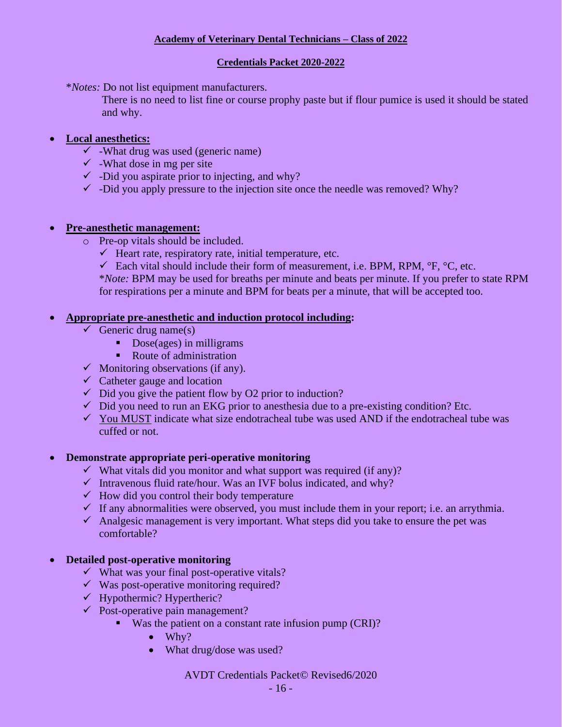### **Credentials Packet 2020-2022**

\**Notes:* Do not list equipment manufacturers.

There is no need to list fine or course prophy paste but if flour pumice is used it should be stated and why.

### • **Local anesthetics:**

- $\checkmark$  -What drug was used (generic name)
- $\checkmark$  -What dose in mg per site
- $\checkmark$  -Did you aspirate prior to injecting, and why?
- $\checkmark$  -Did you apply pressure to the injection site once the needle was removed? Why?

### • **Pre-anesthetic management:**

- o Pre-op vitals should be included.
	- $\checkmark$  Heart rate, respiratory rate, initial temperature, etc.
	- $\checkmark$  Each vital should include their form of measurement, i.e. BPM, RPM,  $\check{P}F$ ,  $\check{C}C$ , etc.

\**Note:* BPM may be used for breaths per minute and beats per minute. If you prefer to state RPM for respirations per a minute and BPM for beats per a minute, that will be accepted too.

### • **Appropriate pre-anesthetic and induction protocol including:**

- $\checkmark$  Generic drug name(s)
	- Dose(ages) in milligrams
	- Route of administration
- $\checkmark$  Monitoring observations (if any).
- $\checkmark$  Catheter gauge and location
- $\checkmark$  Did you give the patient flow by O2 prior to induction?
- $\checkmark$  Did you need to run an EKG prior to anesthesia due to a pre-existing condition? Etc.
- $\checkmark$  You MUST indicate what size endotracheal tube was used AND if the endotracheal tube was cuffed or not.

### • **Demonstrate appropriate peri-operative monitoring**

- ✓ What vitals did you monitor and what support was required (if any)?
- $\checkmark$  Intravenous fluid rate/hour. Was an IVF bolus indicated, and why?
- $\checkmark$  How did you control their body temperature
- $\checkmark$  If any abnormalities were observed, you must include them in your report; i.e. an arrythmia.
- $\checkmark$  Analgesic management is very important. What steps did you take to ensure the pet was comfortable?

### • **Detailed post-operative monitoring**

- $\checkmark$  What was your final post-operative vitals?
- $\checkmark$  Was post-operative monitoring required?
- $\checkmark$  Hypothermic? Hypertheric?
- $\checkmark$  Post-operative pain management?
	- Was the patient on a constant rate infusion pump (CRI)?
		- Why?
		- What drug/dose was used?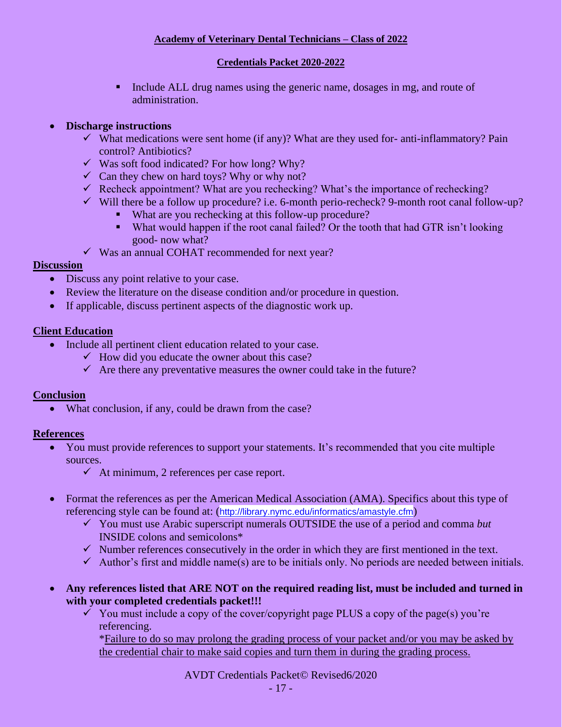### **Credentials Packet 2020-2022**

▪ Include ALL drug names using the generic name, dosages in mg, and route of administration.

### • **Discharge instructions**

- $\checkmark$  What medications were sent home (if any)? What are they used for- anti-inflammatory? Pain control? Antibiotics?
- $\checkmark$  Was soft food indicated? For how long? Why?
- $\checkmark$  Can they chew on hard toys? Why or why not?
- $\checkmark$  Recheck appointment? What are you rechecking? What's the importance of rechecking?
- $\checkmark$  Will there be a follow up procedure? i.e. 6-month perio-recheck? 9-month root canal follow-up?
	- What are you rechecking at this follow-up procedure?
	- What would happen if the root canal failed? Or the tooth that had GTR isn't looking good- now what?
- $\checkmark$  Was an annual COHAT recommended for next year?

### **Discussion**

- Discuss any point relative to your case.
- Review the literature on the disease condition and/or procedure in question.
- If applicable, discuss pertinent aspects of the diagnostic work up.

### **Client Education**

- Include all pertinent client education related to your case.
	- $\checkmark$  How did you educate the owner about this case?
	- $\checkmark$  Are there any preventative measures the owner could take in the future?

### **Conclusion**

• What conclusion, if any, could be drawn from the case?

### **References**

- You must provide references to support your statements. It's recommended that you cite multiple sources.
	- $\checkmark$  At minimum, 2 references per case report.
- Format the references as per the American Medical Association (AMA). Specifics about this type of referencing style can be found at: (<http://library.nymc.edu/informatics/amastyle.cfm>)
	- ✓ You must use Arabic superscript numerals OUTSIDE the use of a period and comma *but*  INSIDE colons and semicolons\*
	- $\checkmark$  Number references consecutively in the order in which they are first mentioned in the text.
	- $\checkmark$  Author's first and middle name(s) are to be initials only. No periods are needed between initials.
- **Any references listed that ARE NOT on the required reading list, must be included and turned in with your completed credentials packet!!!** 
	- $\checkmark$  You must include a copy of the cover/copyright page PLUS a copy of the page(s) you're referencing.

\*Failure to do so may prolong the grading process of your packet and/or you may be asked by the credential chair to make said copies and turn them in during the grading process.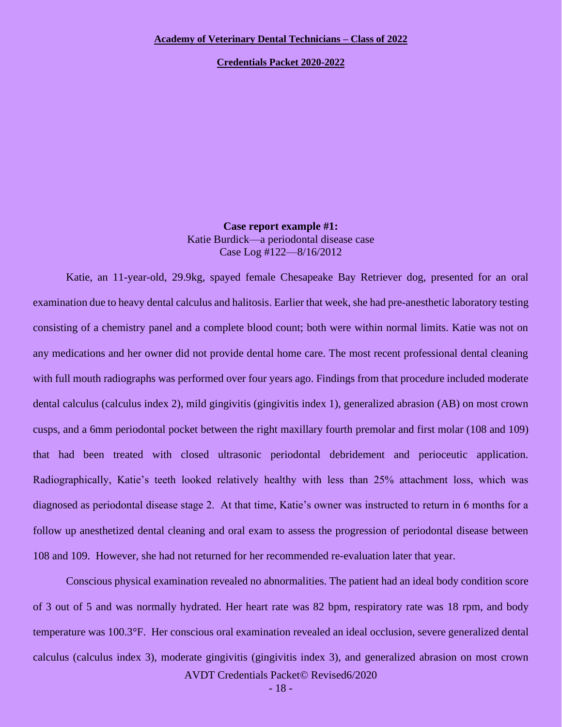**Credentials Packet 2020-2022**

**Case report example #1:** Katie Burdick—a periodontal disease case Case Log #122—8/16/2012

Katie, an 11-year-old, 29.9kg, spayed female Chesapeake Bay Retriever dog, presented for an oral examination due to heavy dental calculus and halitosis. Earlier that week, she had pre-anesthetic laboratory testing consisting of a chemistry panel and a complete blood count; both were within normal limits. Katie was not on any medications and her owner did not provide dental home care. The most recent professional dental cleaning with full mouth radiographs was performed over four years ago. Findings from that procedure included moderate dental calculus (calculus index 2), mild gingivitis (gingivitis index 1), generalized abrasion (AB) on most crown cusps, and a 6mm periodontal pocket between the right maxillary fourth premolar and first molar (108 and 109) that had been treated with closed ultrasonic periodontal debridement and perioceutic application. Radiographically, Katie's teeth looked relatively healthy with less than 25% attachment loss, which was diagnosed as periodontal disease stage 2. At that time, Katie's owner was instructed to return in 6 months for a follow up anesthetized dental cleaning and oral exam to assess the progression of periodontal disease between 108 and 109. However, she had not returned for her recommended re-evaluation later that year.

AVDT Credentials Packet© Revised6/2020 Conscious physical examination revealed no abnormalities. The patient had an ideal body condition score of 3 out of 5 and was normally hydrated. Her heart rate was 82 bpm, respiratory rate was 18 rpm, and body temperature was 100.3°F. Her conscious oral examination revealed an ideal occlusion, severe generalized dental calculus (calculus index 3), moderate gingivitis (gingivitis index 3), and generalized abrasion on most crown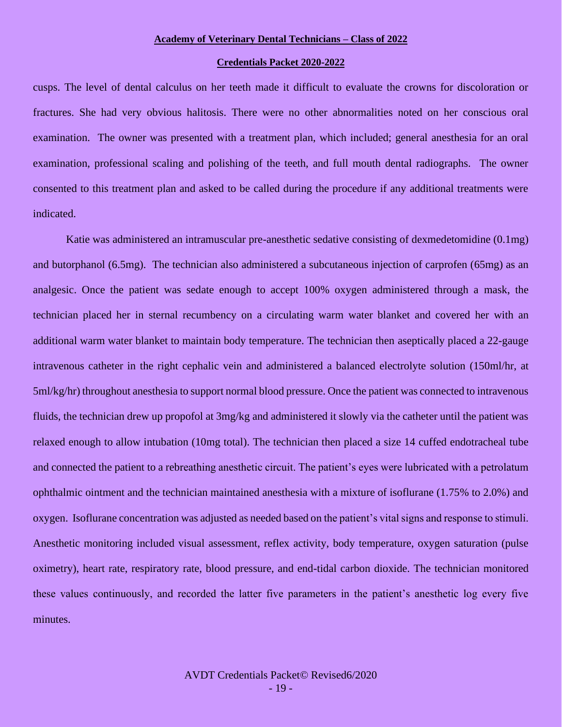#### **Credentials Packet 2020-2022**

cusps. The level of dental calculus on her teeth made it difficult to evaluate the crowns for discoloration or fractures. She had very obvious halitosis. There were no other abnormalities noted on her conscious oral examination. The owner was presented with a treatment plan, which included; general anesthesia for an oral examination, professional scaling and polishing of the teeth, and full mouth dental radiographs. The owner consented to this treatment plan and asked to be called during the procedure if any additional treatments were indicated.

Katie was administered an intramuscular pre-anesthetic sedative consisting of dexmedetomidine (0.1mg) and butorphanol (6.5mg). The technician also administered a subcutaneous injection of carprofen (65mg) as an analgesic. Once the patient was sedate enough to accept 100% oxygen administered through a mask, the technician placed her in sternal recumbency on a circulating warm water blanket and covered her with an additional warm water blanket to maintain body temperature. The technician then aseptically placed a 22-gauge intravenous catheter in the right cephalic vein and administered a balanced electrolyte solution (150ml/hr, at 5ml/kg/hr) throughout anesthesia to support normal blood pressure. Once the patient was connected to intravenous fluids, the technician drew up propofol at 3mg/kg and administered it slowly via the catheter until the patient was relaxed enough to allow intubation (10mg total). The technician then placed a size 14 cuffed endotracheal tube and connected the patient to a rebreathing anesthetic circuit. The patient's eyes were lubricated with a petrolatum ophthalmic ointment and the technician maintained anesthesia with a mixture of isoflurane (1.75% to 2.0%) and oxygen. Isoflurane concentration was adjusted as needed based on the patient's vital signs and response to stimuli. Anesthetic monitoring included visual assessment, reflex activity, body temperature, oxygen saturation (pulse oximetry), heart rate, respiratory rate, blood pressure, and end-tidal carbon dioxide. The technician monitored these values continuously, and recorded the latter five parameters in the patient's anesthetic log every five minutes.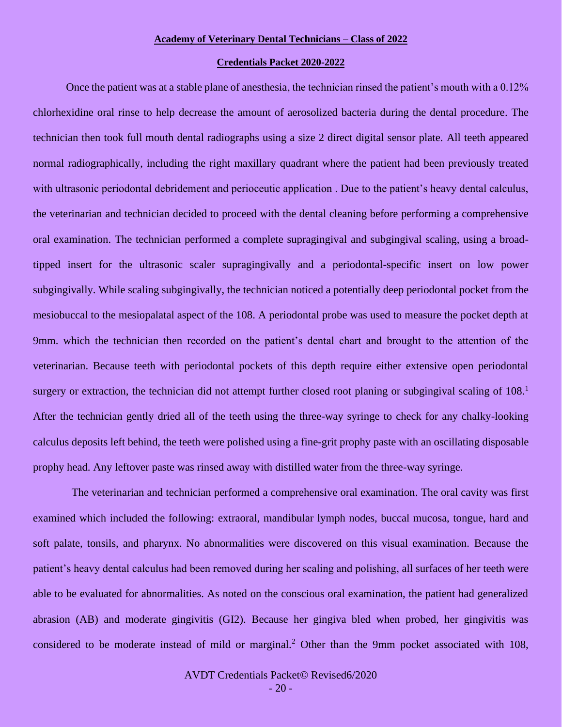#### **Credentials Packet 2020-2022**

Once the patient was at a stable plane of anesthesia, the technician rinsed the patient's mouth with a 0.12% chlorhexidine oral rinse to help decrease the amount of aerosolized bacteria during the dental procedure. The technician then took full mouth dental radiographs using a size 2 direct digital sensor plate. All teeth appeared normal radiographically, including the right maxillary quadrant where the patient had been previously treated with ultrasonic periodontal debridement and perioceutic application. Due to the patient's heavy dental calculus, the veterinarian and technician decided to proceed with the dental cleaning before performing a comprehensive oral examination. The technician performed a complete supragingival and subgingival scaling, using a broadtipped insert for the ultrasonic scaler supragingivally and a periodontal-specific insert on low power subgingivally. While scaling subgingivally, the technician noticed a potentially deep periodontal pocket from the mesiobuccal to the mesiopalatal aspect of the 108. A periodontal probe was used to measure the pocket depth at 9mm. which the technician then recorded on the patient's dental chart and brought to the attention of the veterinarian. Because teeth with periodontal pockets of this depth require either extensive open periodontal surgery or extraction, the technician did not attempt further closed root planing or subgingival scaling of 108.<sup>1</sup> After the technician gently dried all of the teeth using the three-way syringe to check for any chalky-looking calculus deposits left behind, the teeth were polished using a fine-grit prophy paste with an oscillating disposable prophy head. Any leftover paste was rinsed away with distilled water from the three-way syringe.

 The veterinarian and technician performed a comprehensive oral examination. The oral cavity was first examined which included the following: extraoral, mandibular lymph nodes, buccal mucosa, tongue, hard and soft palate, tonsils, and pharynx. No abnormalities were discovered on this visual examination. Because the patient's heavy dental calculus had been removed during her scaling and polishing, all surfaces of her teeth were able to be evaluated for abnormalities. As noted on the conscious oral examination, the patient had generalized abrasion (AB) and moderate gingivitis (GI2). Because her gingiva bled when probed, her gingivitis was considered to be moderate instead of mild or marginal.<sup>2</sup> Other than the 9mm pocket associated with 108,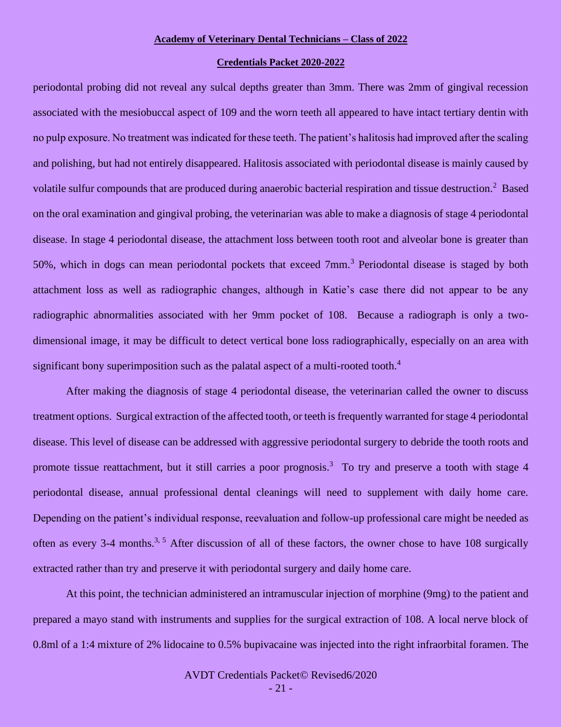#### **Credentials Packet 2020-2022**

periodontal probing did not reveal any sulcal depths greater than 3mm. There was 2mm of gingival recession associated with the mesiobuccal aspect of 109 and the worn teeth all appeared to have intact tertiary dentin with no pulp exposure. No treatment was indicated for these teeth. The patient's halitosis had improved after the scaling and polishing, but had not entirely disappeared. Halitosis associated with periodontal disease is mainly caused by volatile sulfur compounds that are produced during anaerobic bacterial respiration and tissue destruction.<sup>2</sup> Based on the oral examination and gingival probing, the veterinarian was able to make a diagnosis of stage 4 periodontal disease. In stage 4 periodontal disease, the attachment loss between tooth root and alveolar bone is greater than 50%, which in dogs can mean periodontal pockets that exceed 7mm.<sup>3</sup> Periodontal disease is staged by both attachment loss as well as radiographic changes, although in Katie's case there did not appear to be any radiographic abnormalities associated with her 9mm pocket of 108. Because a radiograph is only a twodimensional image, it may be difficult to detect vertical bone loss radiographically, especially on an area with significant bony superimposition such as the palatal aspect of a multi-rooted tooth.<sup>4</sup>

After making the diagnosis of stage 4 periodontal disease, the veterinarian called the owner to discuss treatment options. Surgical extraction of the affected tooth, or teeth is frequently warranted for stage 4 periodontal disease. This level of disease can be addressed with aggressive periodontal surgery to debride the tooth roots and promote tissue reattachment, but it still carries a poor prognosis.<sup>3</sup> To try and preserve a tooth with stage 4 periodontal disease, annual professional dental cleanings will need to supplement with daily home care. Depending on the patient's individual response, reevaluation and follow-up professional care might be needed as often as every 3-4 months.<sup>3, 5</sup> After discussion of all of these factors, the owner chose to have 108 surgically extracted rather than try and preserve it with periodontal surgery and daily home care.

At this point, the technician administered an intramuscular injection of morphine (9mg) to the patient and prepared a mayo stand with instruments and supplies for the surgical extraction of 108. A local nerve block of 0.8ml of a 1:4 mixture of 2% lidocaine to 0.5% bupivacaine was injected into the right infraorbital foramen. The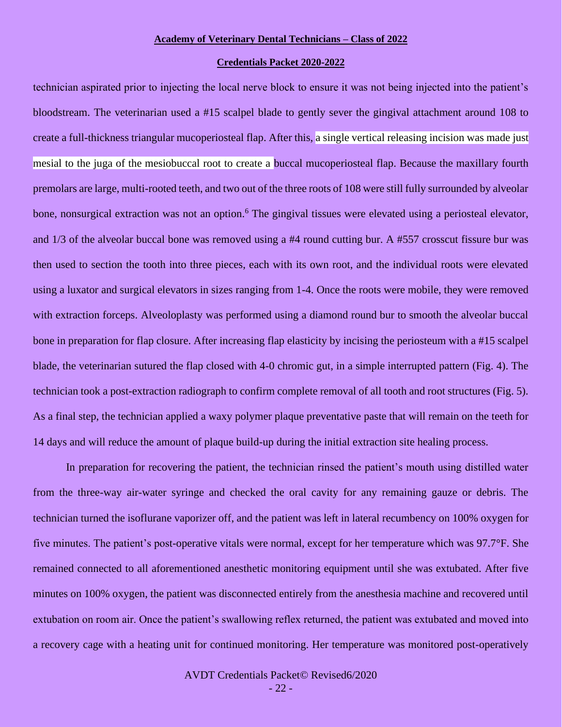#### **Credentials Packet 2020-2022**

technician aspirated prior to injecting the local nerve block to ensure it was not being injected into the patient's bloodstream. The veterinarian used a #15 scalpel blade to gently sever the gingival attachment around 108 to create a full-thickness triangular mucoperiosteal flap. After this, a single vertical releasing incision was made just mesial to the juga of the mesiobuccal root to create a buccal mucoperiosteal flap. Because the maxillary fourth premolars are large, multi-rooted teeth, and two out of the three roots of 108 were still fully surrounded by alveolar bone, nonsurgical extraction was not an option.<sup>6</sup> The gingival tissues were elevated using a periosteal elevator, and 1/3 of the alveolar buccal bone was removed using a #4 round cutting bur. A #557 crosscut fissure bur was then used to section the tooth into three pieces, each with its own root, and the individual roots were elevated using a luxator and surgical elevators in sizes ranging from 1-4. Once the roots were mobile, they were removed with extraction forceps. Alveoloplasty was performed using a diamond round bur to smooth the alveolar buccal bone in preparation for flap closure. After increasing flap elasticity by incising the periosteum with a #15 scalpel blade, the veterinarian sutured the flap closed with 4-0 chromic gut, in a simple interrupted pattern (Fig. 4). The technician took a post-extraction radiograph to confirm complete removal of all tooth and root structures (Fig. 5). As a final step, the technician applied a waxy polymer plaque preventative paste that will remain on the teeth for 14 days and will reduce the amount of plaque build-up during the initial extraction site healing process.

In preparation for recovering the patient, the technician rinsed the patient's mouth using distilled water from the three-way air-water syringe and checked the oral cavity for any remaining gauze or debris. The technician turned the isoflurane vaporizer off, and the patient was left in lateral recumbency on 100% oxygen for five minutes. The patient's post-operative vitals were normal, except for her temperature which was 97.7°F. She remained connected to all aforementioned anesthetic monitoring equipment until she was extubated. After five minutes on 100% oxygen, the patient was disconnected entirely from the anesthesia machine and recovered until extubation on room air. Once the patient's swallowing reflex returned, the patient was extubated and moved into a recovery cage with a heating unit for continued monitoring. Her temperature was monitored post-operatively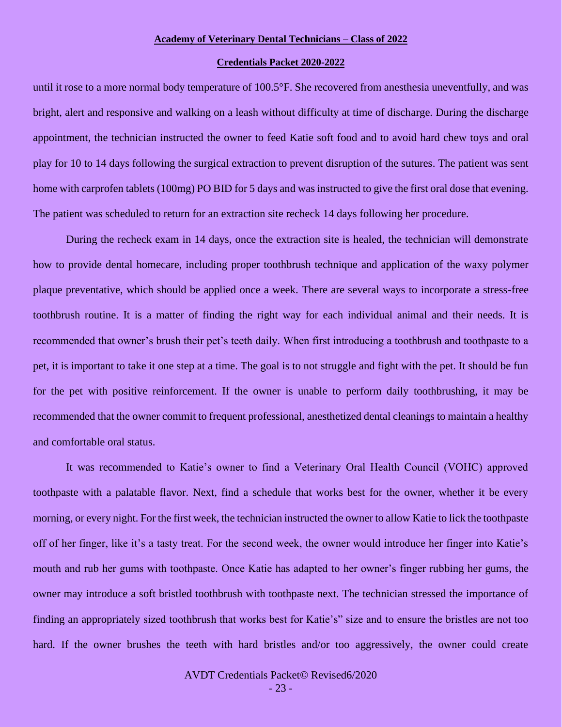#### **Credentials Packet 2020-2022**

until it rose to a more normal body temperature of 100.5°F. She recovered from anesthesia uneventfully, and was bright, alert and responsive and walking on a leash without difficulty at time of discharge. During the discharge appointment, the technician instructed the owner to feed Katie soft food and to avoid hard chew toys and oral play for 10 to 14 days following the surgical extraction to prevent disruption of the sutures. The patient was sent home with carprofen tablets (100mg) PO BID for 5 days and was instructed to give the first oral dose that evening. The patient was scheduled to return for an extraction site recheck 14 days following her procedure.

During the recheck exam in 14 days, once the extraction site is healed, the technician will demonstrate how to provide dental homecare, including proper toothbrush technique and application of the waxy polymer plaque preventative, which should be applied once a week. There are several ways to incorporate a stress-free toothbrush routine. It is a matter of finding the right way for each individual animal and their needs. It is recommended that owner's brush their pet's teeth daily. When first introducing a toothbrush and toothpaste to a pet, it is important to take it one step at a time. The goal is to not struggle and fight with the pet. It should be fun for the pet with positive reinforcement. If the owner is unable to perform daily toothbrushing, it may be recommended that the owner commit to frequent professional, anesthetized dental cleanings to maintain a healthy and comfortable oral status.

It was recommended to Katie's owner to find a Veterinary Oral Health Council (VOHC) approved toothpaste with a palatable flavor. Next, find a schedule that works best for the owner, whether it be every morning, or every night. For the first week, the technician instructed the owner to allow Katie to lick the toothpaste off of her finger, like it's a tasty treat. For the second week, the owner would introduce her finger into Katie's mouth and rub her gums with toothpaste. Once Katie has adapted to her owner's finger rubbing her gums, the owner may introduce a soft bristled toothbrush with toothpaste next. The technician stressed the importance of finding an appropriately sized toothbrush that works best for Katie's" size and to ensure the bristles are not too hard. If the owner brushes the teeth with hard bristles and/or too aggressively, the owner could create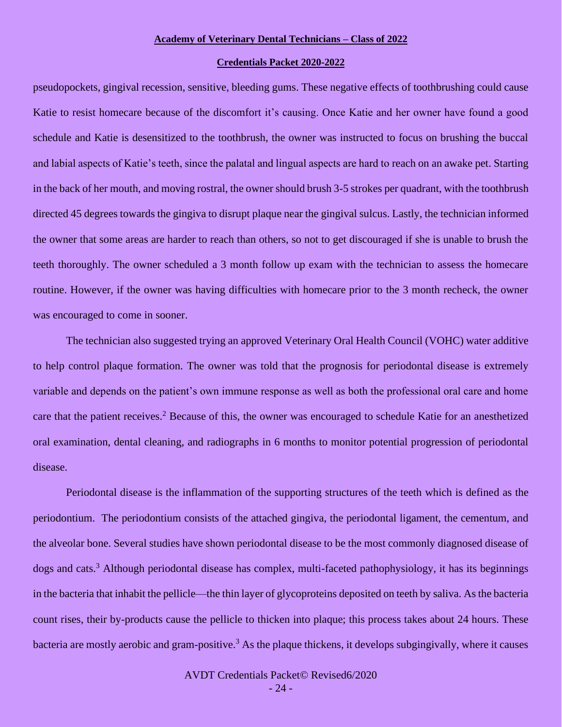#### **Credentials Packet 2020-2022**

pseudopockets, gingival recession, sensitive, bleeding gums. These negative effects of toothbrushing could cause Katie to resist homecare because of the discomfort it's causing. Once Katie and her owner have found a good schedule and Katie is desensitized to the toothbrush, the owner was instructed to focus on brushing the buccal and labial aspects of Katie's teeth, since the palatal and lingual aspects are hard to reach on an awake pet. Starting in the back of her mouth, and moving rostral, the owner should brush 3-5 strokes per quadrant, with the toothbrush directed 45 degrees towards the gingiva to disrupt plaque near the gingival sulcus. Lastly, the technician informed the owner that some areas are harder to reach than others, so not to get discouraged if she is unable to brush the teeth thoroughly. The owner scheduled a 3 month follow up exam with the technician to assess the homecare routine. However, if the owner was having difficulties with homecare prior to the 3 month recheck, the owner was encouraged to come in sooner.

The technician also suggested trying an approved Veterinary Oral Health Council (VOHC) water additive to help control plaque formation. The owner was told that the prognosis for periodontal disease is extremely variable and depends on the patient's own immune response as well as both the professional oral care and home care that the patient receives.<sup>2</sup> Because of this, the owner was encouraged to schedule Katie for an anesthetized oral examination, dental cleaning, and radiographs in 6 months to monitor potential progression of periodontal disease.

Periodontal disease is the inflammation of the supporting structures of the teeth which is defined as the periodontium. The periodontium consists of the attached gingiva, the periodontal ligament, the cementum, and the alveolar bone. Several studies have shown periodontal disease to be the most commonly diagnosed disease of dogs and cats.<sup>3</sup> Although periodontal disease has complex, multi-faceted pathophysiology, it has its beginnings in the bacteria that inhabit the pellicle—the thin layer of glycoproteins deposited on teeth by saliva. As the bacteria count rises, their by-products cause the pellicle to thicken into plaque; this process takes about 24 hours. These bacteria are mostly aerobic and gram-positive.<sup>3</sup> As the plaque thickens, it develops subgingivally, where it causes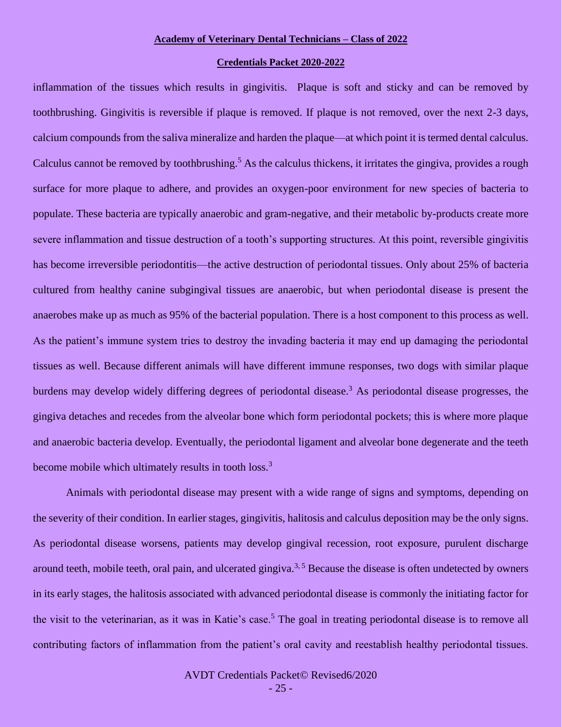#### **Credentials Packet 2020-2022**

inflammation of the tissues which results in gingivitis. Plaque is soft and sticky and can be removed by toothbrushing. Gingivitis is reversible if plaque is removed. If plaque is not removed, over the next 2-3 days, calcium compounds from the saliva mineralize and harden the plaque—at which point it is termed dental calculus. Calculus cannot be removed by toothbrushing.<sup>5</sup> As the calculus thickens, it irritates the gingiva, provides a rough surface for more plaque to adhere, and provides an oxygen-poor environment for new species of bacteria to populate. These bacteria are typically anaerobic and gram-negative, and their metabolic by-products create more severe inflammation and tissue destruction of a tooth's supporting structures. At this point, reversible gingivitis has become irreversible periodontitis—the active destruction of periodontal tissues. Only about 25% of bacteria cultured from healthy canine subgingival tissues are anaerobic, but when periodontal disease is present the anaerobes make up as much as 95% of the bacterial population. There is a host component to this process as well. As the patient's immune system tries to destroy the invading bacteria it may end up damaging the periodontal tissues as well. Because different animals will have different immune responses, two dogs with similar plaque burdens may develop widely differing degrees of periodontal disease.<sup>3</sup> As periodontal disease progresses, the gingiva detaches and recedes from the alveolar bone which form periodontal pockets; this is where more plaque and anaerobic bacteria develop. Eventually, the periodontal ligament and alveolar bone degenerate and the teeth become mobile which ultimately results in tooth loss.<sup>3</sup>

Animals with periodontal disease may present with a wide range of signs and symptoms, depending on the severity of their condition. In earlier stages, gingivitis, halitosis and calculus deposition may be the only signs. As periodontal disease worsens, patients may develop gingival recession, root exposure, purulent discharge around teeth, mobile teeth, oral pain, and ulcerated gingiva.<sup>3,5</sup> Because the disease is often undetected by owners in its early stages, the halitosis associated with advanced periodontal disease is commonly the initiating factor for the visit to the veterinarian, as it was in Katie's case.<sup>5</sup> The goal in treating periodontal disease is to remove all contributing factors of inflammation from the patient's oral cavity and reestablish healthy periodontal tissues.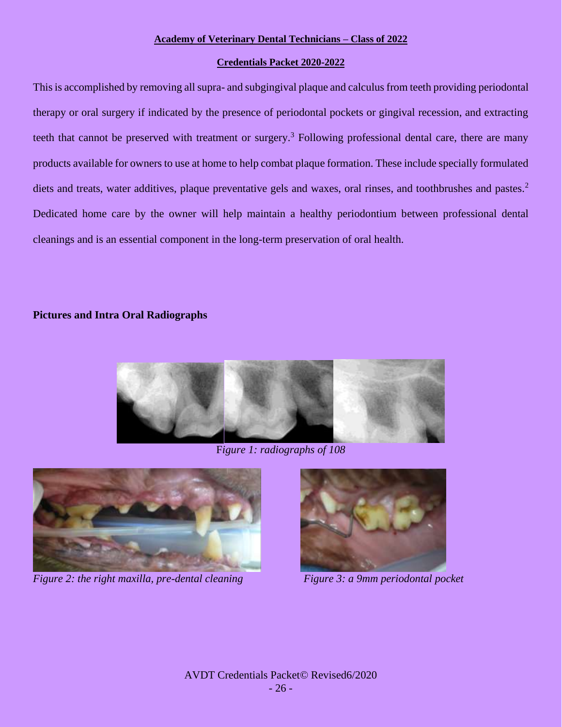#### **Credentials Packet 2020-2022**

This is accomplished by removing all supra- and subgingival plaque and calculus from teeth providing periodontal therapy or oral surgery if indicated by the presence of periodontal pockets or gingival recession, and extracting teeth that cannot be preserved with treatment or surgery.<sup>3</sup> Following professional dental care, there are many products available for owners to use at home to help combat plaque formation. These include specially formulated diets and treats, water additives, plaque preventative gels and waxes, oral rinses, and toothbrushes and pastes.<sup>2</sup> Dedicated home care by the owner will help maintain a healthy periodontium between professional dental cleanings and is an essential component in the long-term preservation of oral health.

### **Pictures and Intra Oral Radiographs**



F*igure 1: radiographs of 108*



*Figure 2: the right maxilla, pre-dental cleaning Figure 3: a 9mm periodontal pocket* 

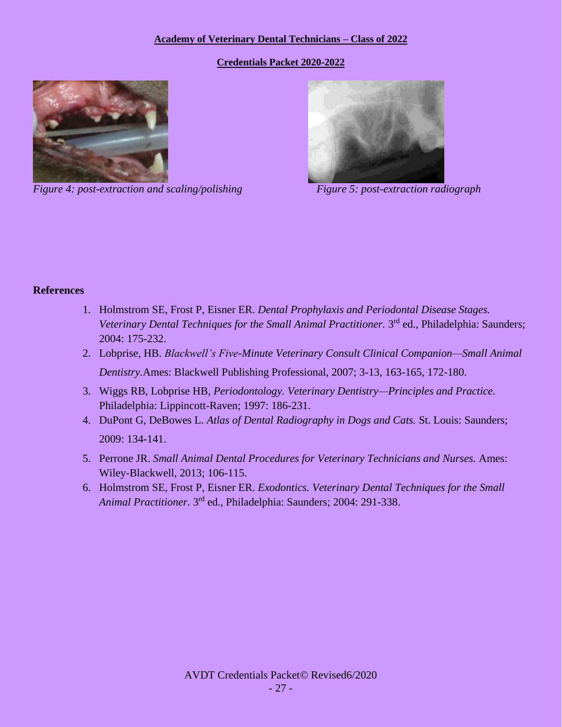**Credentials Packet 2020-2022**



*Figure 4: post-extraction and scaling/polishing Figure 5: post-extraction radiograph* 



### **References**

- 1. Holmstrom SE, Frost P, Eisner ER. *Dental Prophylaxis and Periodontal Disease Stages.* Veterinary Dental Techniques for the Small Animal Practitioner. 3<sup>rd</sup> ed., Philadelphia: Saunders; 2004: 175-232.
- 2. Lobprise, HB. *Blackwell's Five-Minute Veterinary Consult Clinical Companion—Small Animal Dentistry.*Ames: Blackwell Publishing Professional, 2007; 3-13, 163-165, 172-180.
- 3. Wiggs RB, Lobprise HB, *Periodontology. Veterinary Dentistry—Principles and Practice.*  Philadelphia: Lippincott-Raven; 1997: 186-231.
- 4. DuPont G, DeBowes L. *Atlas of Dental Radiography in Dogs and Cats.* St. Louis: Saunders; 2009: 134-141.
- 5. Perrone JR. *Small Animal Dental Procedures for Veterinary Technicians and Nurses.* Ames: Wiley-Blackwell, 2013; 106-115.
- 6. Holmstrom SE, Frost P, Eisner ER. *Exodontics. Veterinary Dental Techniques for the Small*  Animal Practitioner. 3<sup>rd</sup> ed., Philadelphia: Saunders; 2004: 291-338.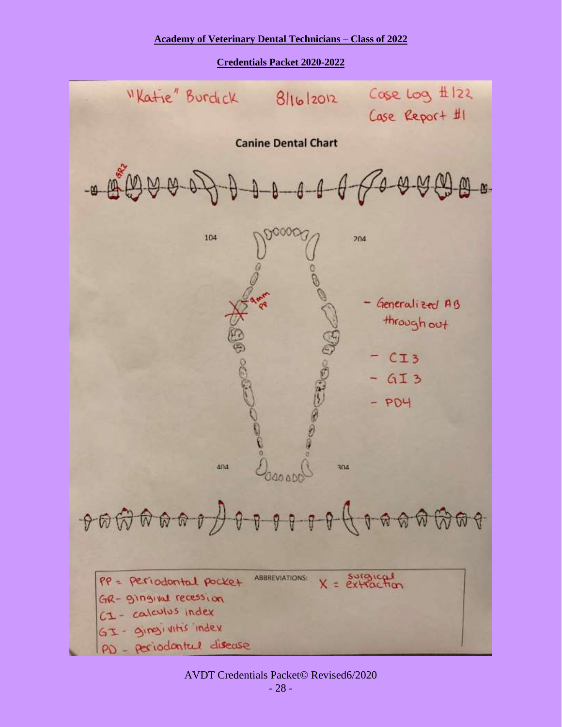**Credentials Packet 2020-2022**

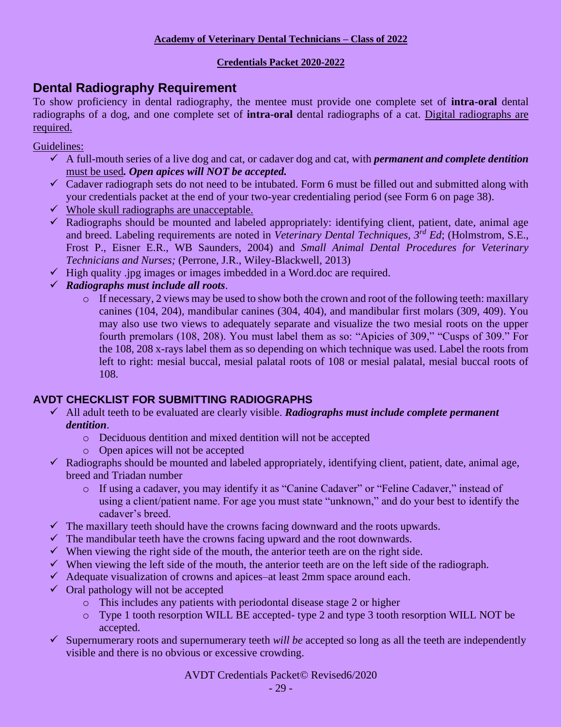### **Credentials Packet 2020-2022**

## **Dental Radiography Requirement**

To show proficiency in dental radiography, the mentee must provide one complete set of **intra-oral** dental radiographs of a dog, and one complete set of **intra-oral** dental radiographs of a cat. Digital radiographs are required.

Guidelines:

- ✓ A full-mouth series of a live dog and cat, or cadaver dog and cat, with *permanent and complete dentition* must be used*. Open apices will NOT be accepted.*
- $\checkmark$  Cadaver radiograph sets do not need to be intubated. Form 6 must be filled out and submitted along with your credentials packet at the end of your two-year credentialing period (see Form 6 on page 38).
- $\checkmark$  Whole skull radiographs are unacceptable.
- $\checkmark$  Radiographs should be mounted and labeled appropriately: identifying client, patient, date, animal age and breed. Labeling requirements are noted in *Veterinary Dental Techniques, 3rd Ed*; (Holmstrom, S.E., Frost P., Eisner E.R., WB Saunders, 2004) and *Small Animal Dental Procedures for Veterinary Technicians and Nurses;* (Perrone, J.R., Wiley-Blackwell, 2013)
- $\checkmark$  High quality .jpg images or images imbedded in a Word.doc are required.
- ✓ *Radiographs must include all roots*.
	- o If necessary, 2 views may be used to show both the crown and root of the following teeth: maxillary canines (104, 204), mandibular canines (304, 404), and mandibular first molars (309, 409). You may also use two views to adequately separate and visualize the two mesial roots on the upper fourth premolars (108, 208). You must label them as so: "Apicies of 309," "Cusps of 309." For the 108, 208 x-rays label them as so depending on which technique was used. Label the roots from left to right: mesial buccal, mesial palatal roots of 108 or mesial palatal, mesial buccal roots of 108.

## **AVDT CHECKLIST FOR SUBMITTING RADIOGRAPHS**

- ✓ All adult teeth to be evaluated are clearly visible. *Radiographs must include complete permanent dentition*.
	- o Deciduous dentition and mixed dentition will not be accepted
	- o Open apices will not be accepted
- $\checkmark$  Radiographs should be mounted and labeled appropriately, identifying client, patient, date, animal age, breed and Triadan number
	- o If using a cadaver, you may identify it as "Canine Cadaver" or "Feline Cadaver," instead of using a client/patient name. For age you must state "unknown," and do your best to identify the cadaver's breed.
- $\checkmark$  The maxillary teeth should have the crowns facing downward and the roots upwards.
- $\checkmark$  The mandibular teeth have the crowns facing upward and the root downwards.
- $\checkmark$  When viewing the right side of the mouth, the anterior teeth are on the right side.
- $\checkmark$  When viewing the left side of the mouth, the anterior teeth are on the left side of the radiograph.
- $\checkmark$  Adequate visualization of crowns and apices–at least 2mm space around each.
- $\checkmark$  Oral pathology will not be accepted
	- o This includes any patients with periodontal disease stage 2 or higher
	- o Type 1 tooth resorption WILL BE accepted- type 2 and type 3 tooth resorption WILL NOT be accepted.
- ✓ Supernumerary roots and supernumerary teeth *will be* accepted so long as all the teeth are independently visible and there is no obvious or excessive crowding.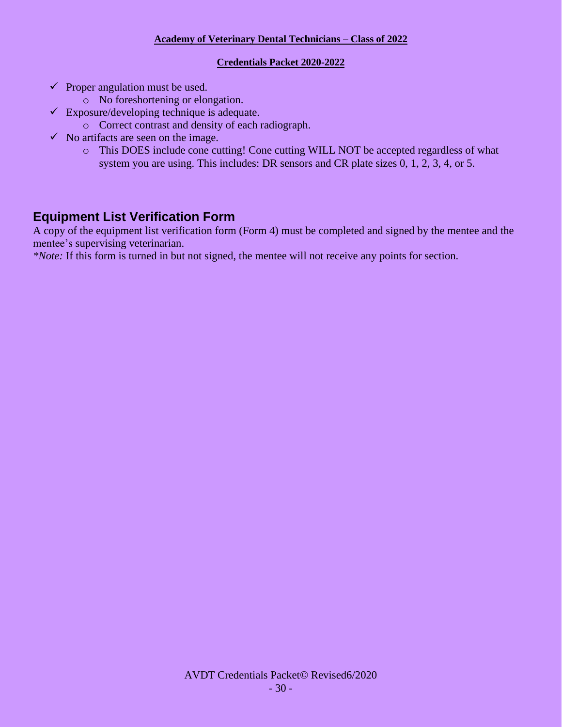### **Credentials Packet 2020-2022**

- $\checkmark$  Proper angulation must be used.
	- o No foreshortening or elongation.
- $\checkmark$  Exposure/developing technique is adequate.
	- o Correct contrast and density of each radiograph.
- $\checkmark$  No artifacts are seen on the image.
	- o This DOES include cone cutting! Cone cutting WILL NOT be accepted regardless of what system you are using. This includes: DR sensors and CR plate sizes 0, 1, 2, 3, 4, or 5.

## **Equipment List Verification Form**

A copy of the equipment list verification form (Form 4) must be completed and signed by the mentee and the mentee's supervising veterinarian.

*\*Note:* If this form is turned in but not signed, the mentee will not receive any points for section.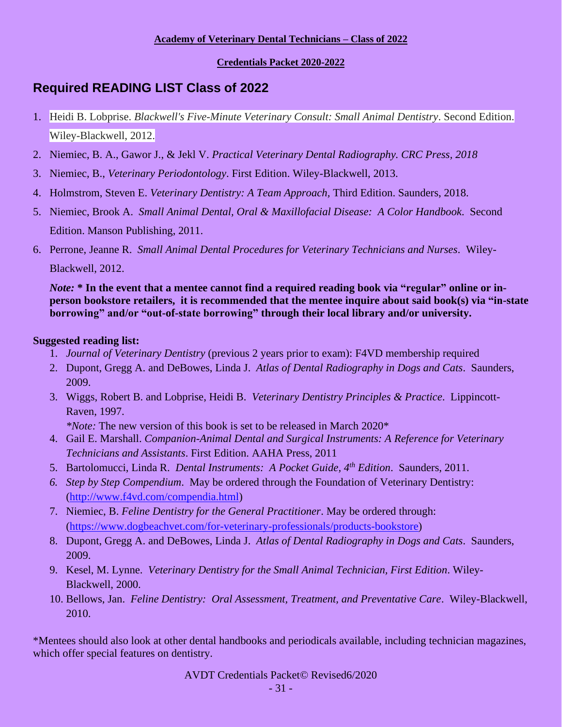### **Credentials Packet 2020-2022**

# **Required READING LIST Class of 2022**

- 1. Heidi B. Lobprise. *Blackwell's Five-Minute Veterinary Consult: Small Animal Dentistry*. Second Edition. Wiley-Blackwell, 2012.
- 2. Niemiec, B. A., Gawor J., & Jekl V. *Practical Veterinary Dental Radiography. CRC Press, 2018*
- 3. Niemiec, B., *Veterinary Periodontology*. First Edition. Wiley-Blackwell, 2013.
- 4. Holmstrom, Steven E. *Veterinary Dentistry: A Team Approach,* Third Edition. Saunders, 2018.
- 5. Niemiec, Brook A. *Small Animal Dental, Oral & Maxillofacial Disease: A Color Handbook*. Second Edition. Manson Publishing, 2011.
- 6. Perrone, Jeanne R. *Small Animal Dental Procedures for Veterinary Technicians and Nurses*. Wiley-Blackwell, 2012.

*Note:* **\* In the event that a mentee cannot find a required reading book via "regular" online or inperson bookstore retailers, it is recommended that the mentee inquire about said book(s) via "in-state borrowing" and/or "out-of-state borrowing" through their local library and/or university.**

### **Suggested reading list:**

- 1. *Journal of Veterinary Dentistry* (previous 2 years prior to exam): F4VD membership required
- 2. Dupont, Gregg A. and DeBowes, Linda J. *Atlas of Dental Radiography in Dogs and Cats*. Saunders, 2009.
- 3. Wiggs, Robert B. and Lobprise, Heidi B. *Veterinary Dentistry Principles & Practice*. Lippincott-Raven, 1997.

*\*Note:* The new version of this book is set to be released in March 2020\*

- 4. Gail E. Marshall. *Companion-Animal Dental and Surgical Instruments: A Reference for Veterinary Technicians and Assistants*. First Edition. AAHA Press, 2011
- 5. Bartolomucci, Linda R. *Dental Instruments: A Pocket Guide, 4th Edition*. Saunders, 2011.
- *6. Step by Step Compendium*. May be ordered through the Foundation of Veterinary Dentistry: [\(http://www.f4vd.com/compendia.html\)](http://www.f4vd.com/compendia.html)
- 7. Niemiec, B. *Feline Dentistry for the General Practitioner*. May be ordered through: [\(https://www.dogbeachvet.com/for-veterinary-professionals/products-bookstore\)](https://www.dogbeachvet.com/for-veterinary-professionals/products-bookstore)
- 8. Dupont, Gregg A. and DeBowes, Linda J. *Atlas of Dental Radiography in Dogs and Cats*. Saunders, 2009.
- 9. Kesel, M. Lynne. *Veterinary Dentistry for the Small Animal Technician, First Edition*. Wiley-Blackwell, 2000.
- 10. Bellows, Jan. *Feline Dentistry: Oral Assessment, Treatment, and Preventative Care*. Wiley-Blackwell, 2010.

\*Mentees should also look at other dental handbooks and periodicals available, including technician magazines, which offer special features on dentistry.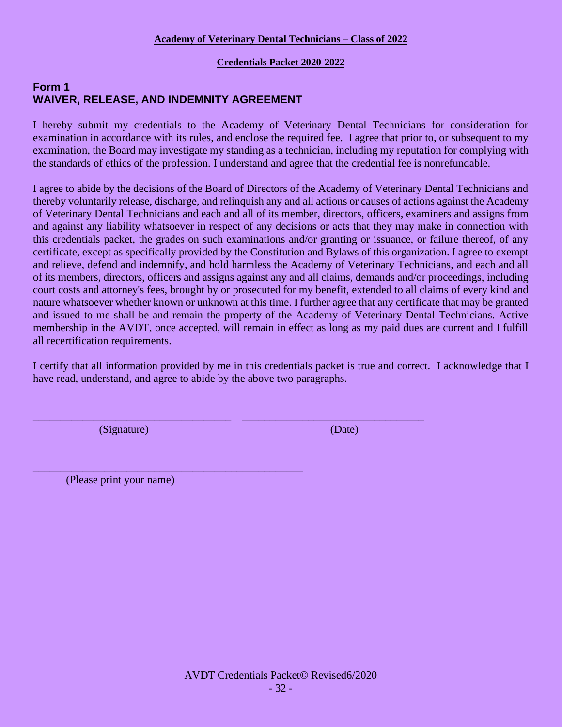### **Credentials Packet 2020-2022**

### **Form 1 WAIVER, RELEASE, AND INDEMNITY AGREEMENT**

I hereby submit my credentials to the Academy of Veterinary Dental Technicians for consideration for examination in accordance with its rules, and enclose the required fee. I agree that prior to, or subsequent to my examination, the Board may investigate my standing as a technician, including my reputation for complying with the standards of ethics of the profession. I understand and agree that the credential fee is nonrefundable.

I agree to abide by the decisions of the Board of Directors of the Academy of Veterinary Dental Technicians and thereby voluntarily release, discharge, and relinquish any and all actions or causes of actions against the Academy of Veterinary Dental Technicians and each and all of its member, directors, officers, examiners and assigns from and against any liability whatsoever in respect of any decisions or acts that they may make in connection with this credentials packet, the grades on such examinations and/or granting or issuance, or failure thereof, of any certificate, except as specifically provided by the Constitution and Bylaws of this organization. I agree to exempt and relieve, defend and indemnify, and hold harmless the Academy of Veterinary Technicians, and each and all of its members, directors, officers and assigns against any and all claims, demands and/or proceedings, including court costs and attorney's fees, brought by or prosecuted for my benefit, extended to all claims of every kind and nature whatsoever whether known or unknown at this time. I further agree that any certificate that may be granted and issued to me shall be and remain the property of the Academy of Veterinary Dental Technicians. Active membership in the AVDT, once accepted, will remain in effect as long as my paid dues are current and I fulfill all recertification requirements.

I certify that all information provided by me in this credentials packet is true and correct. I acknowledge that I have read, understand, and agree to abide by the above two paragraphs.

\_\_\_\_\_\_\_\_\_\_\_\_\_\_\_\_\_\_\_\_\_\_\_\_\_\_\_\_\_\_\_\_\_\_\_\_ \_\_\_\_\_\_\_\_\_\_\_\_\_\_\_\_\_\_\_\_\_\_\_\_\_\_\_\_\_\_\_\_\_

(Signature) (Date)

(Please print your name)

\_\_\_\_\_\_\_\_\_\_\_\_\_\_\_\_\_\_\_\_\_\_\_\_\_\_\_\_\_\_\_\_\_\_\_\_\_\_\_\_\_\_\_\_\_\_\_\_\_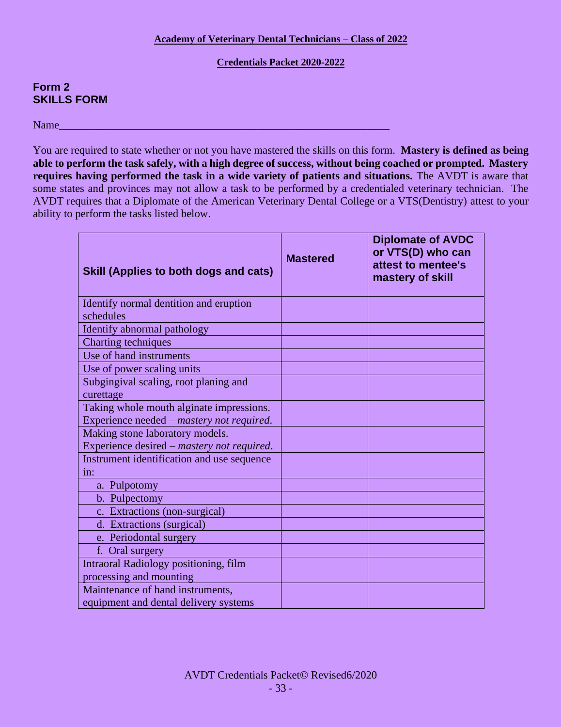### **Credentials Packet 2020-2022**

### **Form 2 SKILLS FORM**

Name\_\_\_\_\_\_\_\_\_\_\_\_\_\_\_\_\_\_\_\_\_\_\_\_\_\_\_\_\_\_\_\_\_\_\_\_\_\_\_\_\_\_\_\_\_\_\_\_\_\_\_\_\_\_\_\_\_\_\_\_

You are required to state whether or not you have mastered the skills on this form. **Mastery is defined as being able to perform the task safely, with a high degree of success, without being coached or prompted. Mastery requires having performed the task in a wide variety of patients and situations.** The AVDT is aware that some states and provinces may not allow a task to be performed by a credentialed veterinary technician. The AVDT requires that a Diplomate of the American Veterinary Dental College or a VTS(Dentistry) attest to your ability to perform the tasks listed below.

| Skill (Applies to both dogs and cats)                                                 | <b>Mastered</b> | <b>Diplomate of AVDC</b><br>or VTS(D) who can<br>attest to mentee's<br>mastery of skill |
|---------------------------------------------------------------------------------------|-----------------|-----------------------------------------------------------------------------------------|
| Identify normal dentition and eruption<br>schedules                                   |                 |                                                                                         |
| Identify abnormal pathology                                                           |                 |                                                                                         |
| Charting techniques                                                                   |                 |                                                                                         |
| Use of hand instruments                                                               |                 |                                                                                         |
| Use of power scaling units                                                            |                 |                                                                                         |
| Subgingival scaling, root planing and<br>curettage                                    |                 |                                                                                         |
| Taking whole mouth alginate impressions.<br>Experience needed - mastery not required. |                 |                                                                                         |
| Making stone laboratory models.<br>Experience desired – mastery not required.         |                 |                                                                                         |
| Instrument identification and use sequence<br>in:                                     |                 |                                                                                         |
| a. Pulpotomy                                                                          |                 |                                                                                         |
| b. Pulpectomy                                                                         |                 |                                                                                         |
| c. Extractions (non-surgical)                                                         |                 |                                                                                         |
| d. Extractions (surgical)                                                             |                 |                                                                                         |
| e. Periodontal surgery                                                                |                 |                                                                                         |
| f. Oral surgery                                                                       |                 |                                                                                         |
| Intraoral Radiology positioning, film<br>processing and mounting                      |                 |                                                                                         |
| Maintenance of hand instruments,<br>equipment and dental delivery systems             |                 |                                                                                         |
|                                                                                       |                 |                                                                                         |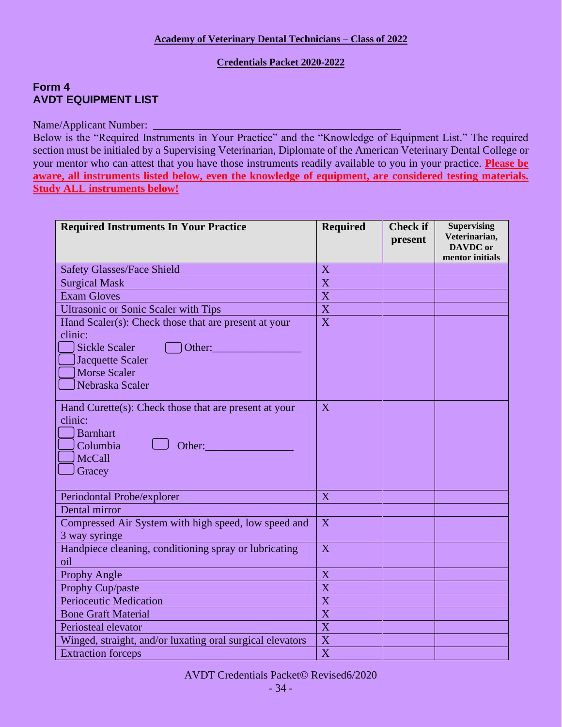### **Credentials Packet 2020-2022**

### **Form 4 AVDT EQUIPMENT LIST**

### Name/Applicant Number: \_\_\_\_\_\_\_\_\_\_\_\_\_\_\_\_\_\_\_\_\_\_\_\_\_\_\_\_\_\_\_\_\_\_\_\_\_\_\_\_\_\_\_\_\_

Below is the "Required Instruments in Your Practice" and the "Knowledge of Equipment List." The required section must be initialed by a Supervising Veterinarian, Diplomate of the American Veterinary Dental College or your mentor who can attest that you have those instruments readily available to you in your practice. **Please be aware, all instruments listed below, even the knowledge of equipment, are considered testing materials. Study ALL instruments below!**

| <b>Required Instruments In Your Practice</b>                                                                                                                                                                                    | <b>Required</b>           | <b>Check if</b><br>present | <b>Supervising</b><br>Veterinarian,<br><b>DAVDC</b> or<br>mentor initials |
|---------------------------------------------------------------------------------------------------------------------------------------------------------------------------------------------------------------------------------|---------------------------|----------------------------|---------------------------------------------------------------------------|
| <b>Safety Glasses/Face Shield</b>                                                                                                                                                                                               | X                         |                            |                                                                           |
| <b>Surgical Mask</b>                                                                                                                                                                                                            | X                         |                            |                                                                           |
| <b>Exam Gloves</b>                                                                                                                                                                                                              | X                         |                            |                                                                           |
| <b>Ultrasonic or Sonic Scaler with Tips</b>                                                                                                                                                                                     | $\boldsymbol{\mathrm{X}}$ |                            |                                                                           |
| Hand Scaler(s): Check those that are present at your<br>clinic:<br><b>Sickle Scaler</b><br>Other:<br><b>Jacquette Scaler</b><br><b>Morse Scaler</b><br>Nebraska Scaler<br>Hand Curette(s): Check those that are present at your | $\overline{X}$<br>X       |                            |                                                                           |
| clinic:<br><b>Barnhart</b><br>Columbia<br>Other:<br>McCall<br>Gracey                                                                                                                                                            |                           |                            |                                                                           |
| Periodontal Probe/explorer                                                                                                                                                                                                      | X                         |                            |                                                                           |
| Dental mirror                                                                                                                                                                                                                   |                           |                            |                                                                           |
| Compressed Air System with high speed, low speed and<br>3 way syringe                                                                                                                                                           | X                         |                            |                                                                           |
| Handpiece cleaning, conditioning spray or lubricating<br>oil                                                                                                                                                                    | X                         |                            |                                                                           |
| Prophy Angle                                                                                                                                                                                                                    | X                         |                            |                                                                           |
| Prophy Cup/paste                                                                                                                                                                                                                | X                         |                            |                                                                           |
| <b>Perioceutic Medication</b>                                                                                                                                                                                                   | $\boldsymbol{\mathrm{X}}$ |                            |                                                                           |
| <b>Bone Graft Material</b>                                                                                                                                                                                                      | X                         |                            |                                                                           |
| Periosteal elevator                                                                                                                                                                                                             | X                         |                            |                                                                           |
| Winged, straight, and/or luxating oral surgical elevators                                                                                                                                                                       | X                         |                            |                                                                           |
| <b>Extraction forceps</b>                                                                                                                                                                                                       | X                         |                            |                                                                           |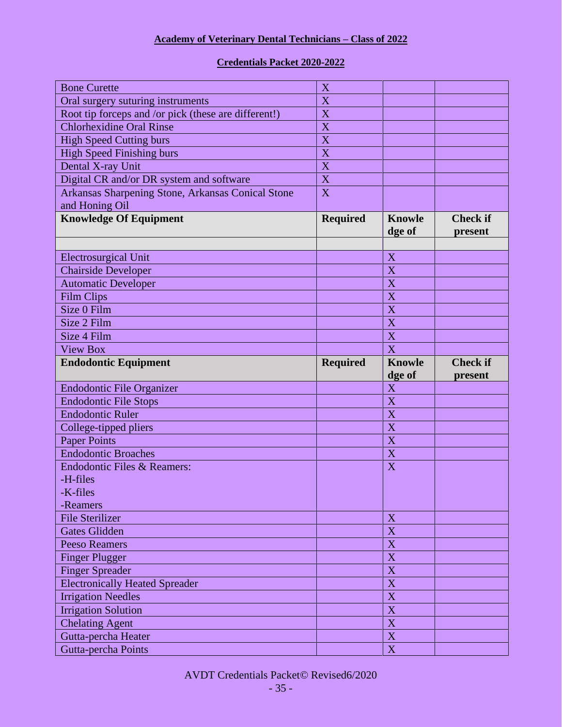### **Credentials Packet 2020-2022**

| <b>Bone Curette</b>                                  | X                         |                            |                            |
|------------------------------------------------------|---------------------------|----------------------------|----------------------------|
| Oral surgery suturing instruments                    | $\boldsymbol{\mathrm{X}}$ |                            |                            |
| Root tip forceps and /or pick (these are different!) | $\mathbf X$               |                            |                            |
| <b>Chlorhexidine Oral Rinse</b>                      | X                         |                            |                            |
| <b>High Speed Cutting burs</b>                       | X                         |                            |                            |
| <b>High Speed Finishing burs</b>                     | X                         |                            |                            |
| Dental X-ray Unit                                    | X                         |                            |                            |
| Digital CR and/or DR system and software             | X                         |                            |                            |
| Arkansas Sharpening Stone, Arkansas Conical Stone    | X                         |                            |                            |
| and Honing Oil                                       |                           |                            |                            |
| <b>Knowledge Of Equipment</b>                        | <b>Required</b>           | <b>Knowle</b><br>dge of    | <b>Check if</b><br>present |
|                                                      |                           |                            |                            |
| <b>Electrosurgical Unit</b>                          |                           | X                          |                            |
| <b>Chairside Developer</b>                           |                           | X                          |                            |
| <b>Automatic Developer</b>                           |                           | X                          |                            |
| <b>Film Clips</b>                                    |                           | $\boldsymbol{\mathrm{X}}$  |                            |
| Size 0 Film                                          |                           | $\mathbf X$                |                            |
| Size 2 Film                                          |                           | X                          |                            |
| Size 4 Film                                          |                           | $\mathbf X$                |                            |
| <b>View Box</b>                                      |                           | $\overline{X}$             |                            |
| <b>Endodontic Equipment</b>                          | <b>Required</b>           | <b>Knowle</b>              | <b>Check if</b>            |
|                                                      |                           |                            |                            |
|                                                      |                           | dge of                     | present                    |
| <b>Endodontic File Organizer</b>                     |                           | $\mathbf X$                |                            |
| <b>Endodontic File Stops</b>                         |                           | $\boldsymbol{\mathrm{X}}$  |                            |
| <b>Endodontic Ruler</b>                              |                           | $\boldsymbol{\mathrm{X}}$  |                            |
| College-tipped pliers                                |                           | X                          |                            |
| <b>Paper Points</b>                                  |                           | X                          |                            |
| <b>Endodontic Broaches</b>                           |                           | X                          |                            |
| Endodontic Files & Reamers:                          |                           | X                          |                            |
| -H-files                                             |                           |                            |                            |
| -K-files                                             |                           |                            |                            |
| -Reamers                                             |                           |                            |                            |
| <b>File Sterilizer</b>                               |                           | X                          |                            |
| <b>Gates Glidden</b>                                 |                           | $\mathbf X$                |                            |
| <b>Peeso Reamers</b>                                 |                           | $\mathbf X$                |                            |
| <b>Finger Plugger</b>                                |                           | $\mathbf X$                |                            |
| <b>Finger Spreader</b>                               |                           | $\mathbf X$                |                            |
| <b>Electronically Heated Spreader</b>                |                           | $\mathbf X$                |                            |
| <b>Irrigation Needles</b>                            |                           | $\overline{X}$             |                            |
| <b>Irrigation Solution</b>                           |                           | $\mathbf X$                |                            |
| <b>Chelating Agent</b>                               |                           | $\mathbf X$                |                            |
| Gutta-percha Heater<br>Gutta-percha Points           |                           | $\mathbf X$<br>$\mathbf X$ |                            |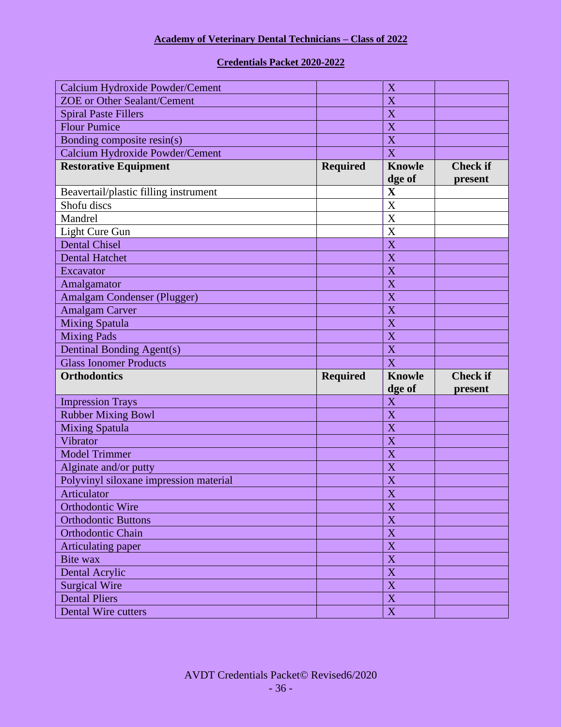### **Credentials Packet 2020-2022**

| Calcium Hydroxide Powder/Cement        |                 | X                         |                 |
|----------------------------------------|-----------------|---------------------------|-----------------|
| <b>ZOE</b> or Other Sealant/Cement     |                 | X                         |                 |
| <b>Spiral Paste Fillers</b>            |                 | X                         |                 |
| <b>Flour Pumice</b>                    |                 | X                         |                 |
| Bonding composite resin(s)             |                 | X                         |                 |
| Calcium Hydroxide Powder/Cement        |                 | X                         |                 |
| <b>Restorative Equipment</b>           | <b>Required</b> | <b>Knowle</b>             | <b>Check if</b> |
|                                        |                 | dge of                    | present         |
| Beavertail/plastic filling instrument  |                 | $\mathbf X$               |                 |
| Shofu discs                            |                 | X                         |                 |
| Mandrel                                |                 | X                         |                 |
| Light Cure Gun                         |                 | X                         |                 |
| <b>Dental Chisel</b>                   |                 | X                         |                 |
| <b>Dental Hatchet</b>                  |                 | X                         |                 |
| Excavator                              |                 | X                         |                 |
| Amalgamator                            |                 | X                         |                 |
| <b>Amalgam Condenser (Plugger)</b>     |                 | X                         |                 |
| <b>Amalgam Carver</b>                  |                 | X                         |                 |
| <b>Mixing Spatula</b>                  |                 | X                         |                 |
| <b>Mixing Pads</b>                     |                 | X                         |                 |
|                                        |                 |                           |                 |
| Dentinal Bonding Agent(s)              |                 | X                         |                 |
| <b>Glass Ionomer Products</b>          |                 | $\overline{\text{X}}$     |                 |
| <b>Orthodontics</b>                    | <b>Required</b> | <b>Knowle</b>             | <b>Check if</b> |
|                                        |                 | dge of                    | present         |
| <b>Impression Trays</b>                |                 | X                         |                 |
| <b>Rubber Mixing Bowl</b>              |                 | X                         |                 |
| <b>Mixing Spatula</b>                  |                 | X                         |                 |
| Vibrator                               |                 | $\overline{X}$            |                 |
| <b>Model Trimmer</b>                   |                 | X                         |                 |
| Alginate and/or putty                  |                 | X                         |                 |
| Polyvinyl siloxane impression material |                 | $\boldsymbol{\mathrm{X}}$ |                 |
| Articulator                            |                 | $\overline{\textbf{X}}$   |                 |
| Orthodontic Wire                       |                 | X                         |                 |
| <b>Orthodontic Buttons</b>             |                 | $\mathbf X$               |                 |
| <b>Orthodontic Chain</b>               |                 | $\mathbf X$               |                 |
| Articulating paper                     |                 | $\mathbf X$               |                 |
| Bite wax                               |                 | $\mathbf X$               |                 |
| <b>Dental Acrylic</b>                  |                 | $\mathbf X$               |                 |
| <b>Surgical Wire</b>                   |                 | $\mathbf X$               |                 |
| <b>Dental Pliers</b>                   |                 | $\mathbf X$               |                 |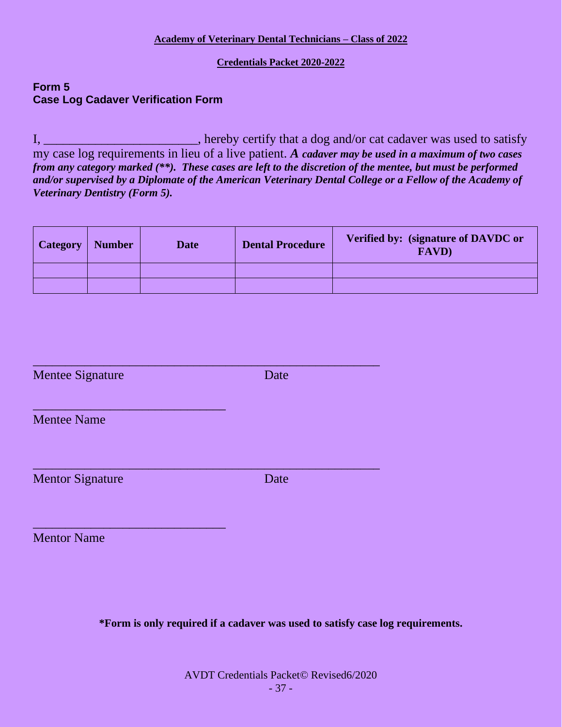### **Credentials Packet 2020-2022**

### **Form 5 Case Log Cadaver Verification Form**

I, \_\_\_\_\_\_\_\_\_\_\_\_\_\_\_\_\_\_\_\_\_\_\_\_, hereby certify that a dog and/or cat cadaver was used to satisfy my case log requirements in lieu of a live patient. *A cadaver may be used in a maximum of two cases from any category marked (\*\*). These cases are left to the discretion of the mentee, but must be performed and/or supervised by a Diplomate of the American Veterinary Dental College or a Fellow of the Academy of Veterinary Dentistry (Form 5).*

| <b>Category</b> | <b>Number</b> | <b>Date</b> | <b>Dental Procedure</b> | Verified by: (signature of DAVDC or<br><b>FAVD</b> ) |
|-----------------|---------------|-------------|-------------------------|------------------------------------------------------|
|                 |               |             |                         |                                                      |
|                 |               |             |                         |                                                      |

| <b>Mentee Signature</b> | Date |  |
|-------------------------|------|--|
| <b>Mentee Name</b>      |      |  |
| <b>Mentor Signature</b> | Date |  |
| <b>Mentor Name</b>      |      |  |

**\*Form is only required if a cadaver was used to satisfy case log requirements.**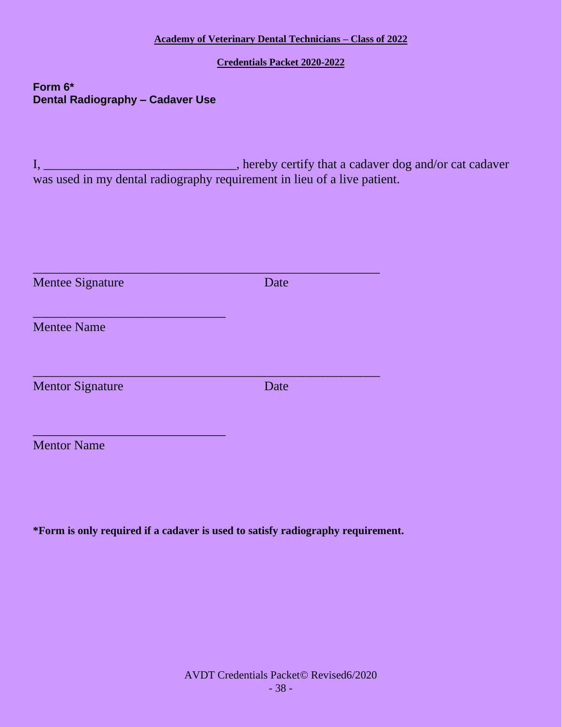**Credentials Packet 2020-2022**

**Form 6\* Dental Radiography – Cadaver Use**

I, \_\_\_\_\_\_\_\_\_\_\_\_\_\_\_\_\_\_\_\_\_\_\_\_\_\_\_\_\_\_\_, hereby certify that a cadaver dog and/or cat cadaver was used in my dental radiography requirement in lieu of a live patient.

| <b>Mentee Signature</b> | Date |
|-------------------------|------|
| <b>Mentee Name</b>      |      |
| <b>Mentor Signature</b> | Date |
| <b>Mentor Name</b>      |      |

**\*Form is only required if a cadaver is used to satisfy radiography requirement.**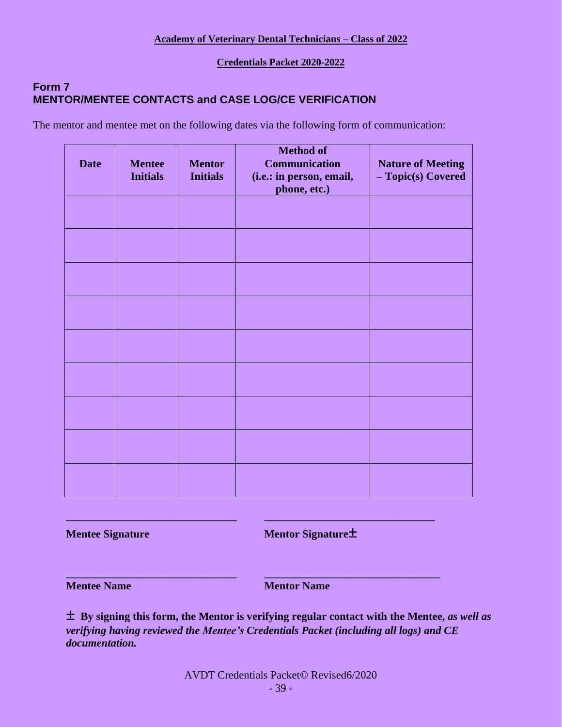**Credentials Packet 2020-2022**

### **Form 7 MENTOR/MENTEE CONTACTS and CASE LOG/CE VERIFICATION**

The mentor and mentee met on the following dates via the following form of communication:

| <b>Date</b> | <b>Mentee</b><br><b>Initials</b> | <b>Mentor</b><br><b>Initials</b> | <b>Method of</b><br><b>Communication</b><br>(i.e.: in person, email,<br>phone, etc.) | <b>Nature of Meeting</b><br>- Topic(s) Covered |
|-------------|----------------------------------|----------------------------------|--------------------------------------------------------------------------------------|------------------------------------------------|
|             |                                  |                                  |                                                                                      |                                                |
|             |                                  |                                  |                                                                                      |                                                |
|             |                                  |                                  |                                                                                      |                                                |
|             |                                  |                                  |                                                                                      |                                                |
|             |                                  |                                  |                                                                                      |                                                |
|             |                                  |                                  |                                                                                      |                                                |
|             |                                  |                                  |                                                                                      |                                                |
|             |                                  |                                  |                                                                                      |                                                |
|             |                                  |                                  |                                                                                      |                                                |

**Mentee Signature Mentor Signature** 

**Mentee Name Mentor Name** 

**± By signing this form, the Mentor is verifying regular contact with the Mentee,** *as well as verifying having reviewed the Mentee's Credentials Packet (including all logs) and CE documentation.*

**\_\_\_\_\_\_\_\_\_\_\_\_\_\_\_\_\_\_\_\_\_\_\_\_\_\_\_\_\_\_\_ \_\_\_\_\_\_\_\_\_\_\_\_\_\_\_\_\_\_\_\_\_\_\_\_\_\_\_\_\_\_\_**

**\_\_\_\_\_\_\_\_\_\_\_\_\_\_\_\_\_\_\_\_\_\_\_\_\_\_\_\_\_\_\_ \_\_\_\_\_\_\_\_\_\_\_\_\_\_\_\_\_\_\_\_\_\_\_\_\_\_\_\_\_\_\_\_**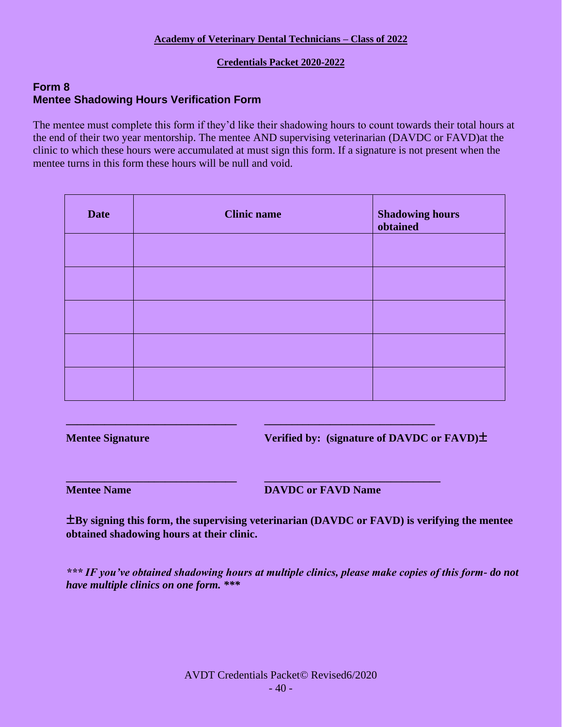### **Credentials Packet 2020-2022**

### **Form 8 Mentee Shadowing Hours Verification Form**

The mentee must complete this form if they'd like their shadowing hours to count towards their total hours at the end of their two year mentorship. The mentee AND supervising veterinarian (DAVDC or FAVD)at the clinic to which these hours were accumulated at must sign this form. If a signature is not present when the mentee turns in this form these hours will be null and void.

| <b>Date</b> | <b>Clinic name</b> | <b>Shadowing hours</b><br>obtained |
|-------------|--------------------|------------------------------------|
|             |                    |                                    |
|             |                    |                                    |
|             |                    |                                    |
|             |                    |                                    |
|             |                    |                                    |

**\_\_\_\_\_\_\_\_\_\_\_\_\_\_\_\_\_\_\_\_\_\_\_\_\_\_\_\_\_\_\_ \_\_\_\_\_\_\_\_\_\_\_\_\_\_\_\_\_\_\_\_\_\_\_\_\_\_\_\_\_\_\_**

**\_\_\_\_\_\_\_\_\_\_\_\_\_\_\_\_\_\_\_\_\_\_\_\_\_\_\_\_\_\_\_ \_\_\_\_\_\_\_\_\_\_\_\_\_\_\_\_\_\_\_\_\_\_\_\_\_\_\_\_\_\_\_\_**

**Mentee Signature Verified by: (signature of DAVDC or FAVD)±**

**Mentee Name DAVDC** or **FAVD** Name

**±By signing this form, the supervising veterinarian (DAVDC or FAVD) is verifying the mentee obtained shadowing hours at their clinic.** 

*\*\*\* IF you've obtained shadowing hours at multiple clinics, please make copies of this form- do not have multiple clinics on one form. \*\*\**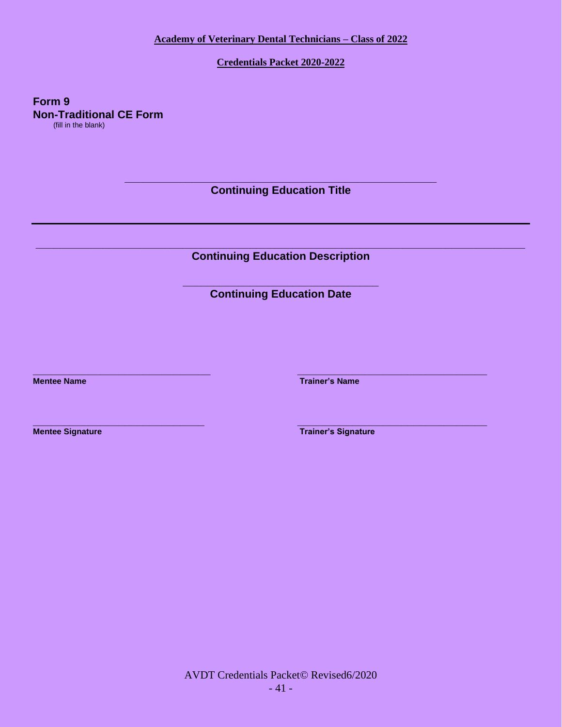**Credentials Packet 2020-2022**

**Form 9 Non-Traditional CE Form**  (fill in the blank)

> **\_\_\_\_\_\_\_\_\_\_\_\_\_\_\_\_\_\_\_\_\_\_\_\_\_\_\_\_\_\_\_\_\_\_\_\_\_\_\_\_\_\_\_\_\_\_\_\_\_\_\_ Continuing Education Title**

**\_\_\_\_\_\_\_\_\_\_\_\_\_\_\_\_\_\_\_\_\_\_\_\_\_\_\_\_\_\_\_\_\_\_\_\_\_\_\_\_\_\_\_\_\_\_\_\_\_\_\_\_\_\_\_\_\_\_\_\_\_\_\_\_\_\_\_\_\_\_\_\_\_\_\_\_\_\_\_\_ Continuing Education Description**

> **\_\_\_\_\_\_\_\_\_\_\_\_\_\_\_\_\_\_\_\_\_\_\_\_\_\_\_\_\_\_\_\_ Continuing Education Date**

**\_\_\_\_\_\_\_\_\_\_\_\_\_\_\_\_\_\_\_\_\_\_\_\_\_\_\_\_\_ \_\_\_\_\_\_\_\_\_\_\_\_\_\_\_\_\_\_\_\_\_\_\_\_\_\_\_\_\_\_\_**

**Mentee Name Trainer's Name Trainer's Name** 

**\_\_\_\_\_\_\_\_\_\_\_\_\_\_\_\_\_\_\_\_\_\_\_\_\_\_\_\_ \_\_\_\_\_\_\_\_\_\_\_\_\_\_\_\_\_\_\_\_\_\_\_\_\_\_\_\_\_\_\_ Mentee Signature Trainer's Signature** 

> AVDT Credentials Packet© Revised6/2020 - 41 -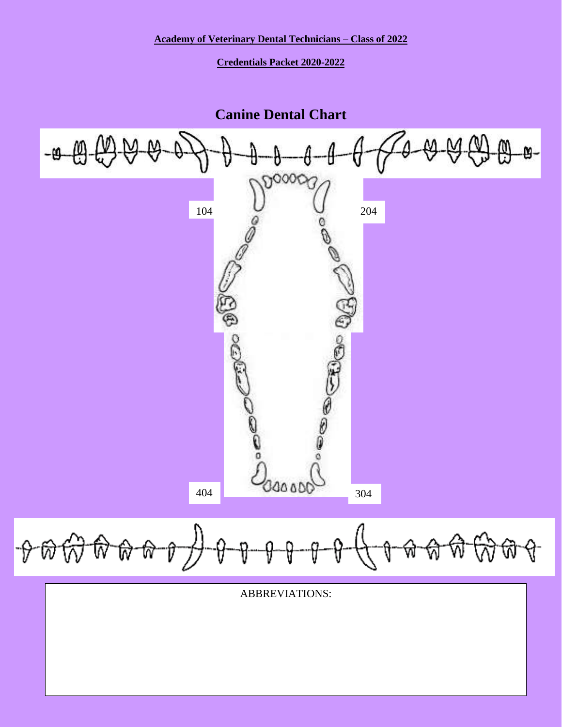**Credentials Packet 2020-2022**

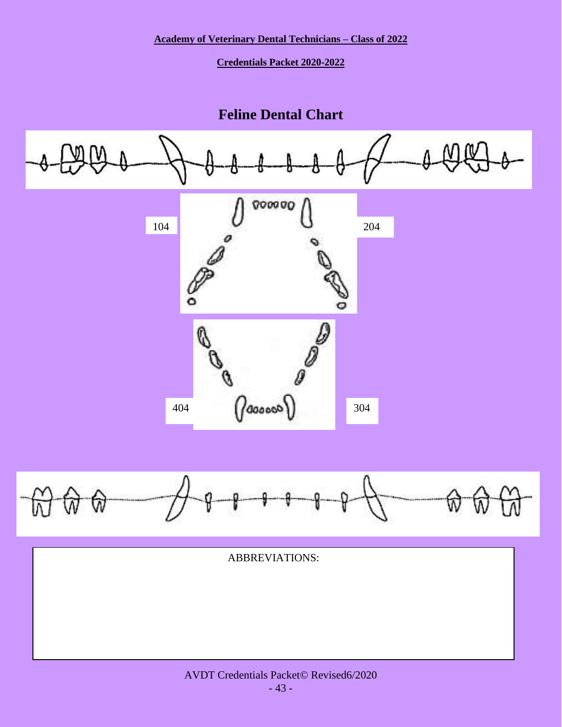**Credentials Packet 2020-2022**

# **Feline Dental Chart**

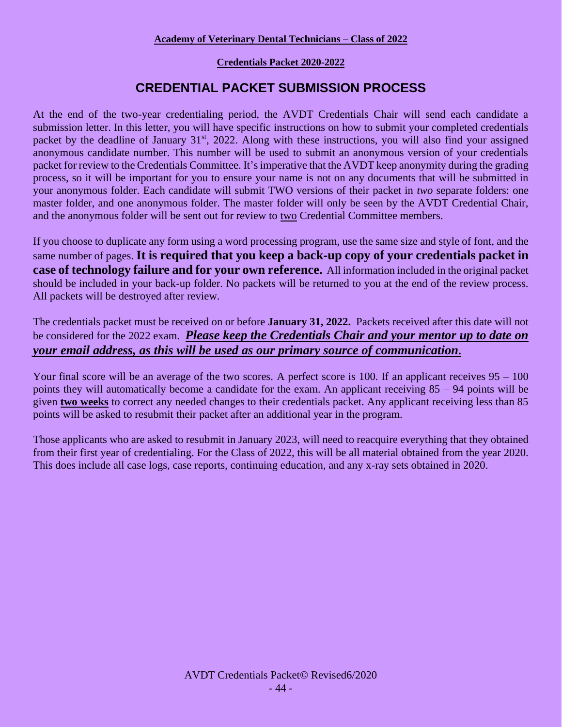### **Credentials Packet 2020-2022**

# **CREDENTIAL PACKET SUBMISSION PROCESS**

At the end of the two-year credentialing period, the AVDT Credentials Chair will send each candidate a submission letter. In this letter, you will have specific instructions on how to submit your completed credentials packet by the deadline of January 31<sup>st</sup>, 2022. Along with these instructions, you will also find your assigned anonymous candidate number. This number will be used to submit an anonymous version of your credentials packet for review to the Credentials Committee. It's imperative that the AVDT keep anonymity during the grading process, so it will be important for you to ensure your name is not on any documents that will be submitted in your anonymous folder. Each candidate will submit TWO versions of their packet in *two* separate folders: one master folder, and one anonymous folder. The master folder will only be seen by the AVDT Credential Chair, and the anonymous folder will be sent out for review to two Credential Committee members.

If you choose to duplicate any form using a word processing program, use the same size and style of font, and the same number of pages. **It is required that you keep a back-up copy of your credentials packet in case of technology failure and for your own reference.** All information included in the original packet should be included in your back-up folder. No packets will be returned to you at the end of the review process. All packets will be destroyed after review.

The credentials packet must be received on or before **January 31, 2022.** Packets received after this date will not be considered for the 2022 exam. *Please keep the Credentials Chair and your mentor up to date on your email address, as this will be used as our primary source of communication.*

Your final score will be an average of the two scores. A perfect score is 100. If an applicant receives  $95 - 100$ points they will automatically become a candidate for the exam. An applicant receiving 85 – 94 points will be given **two weeks** to correct any needed changes to their credentials packet. Any applicant receiving less than 85 points will be asked to resubmit their packet after an additional year in the program.

Those applicants who are asked to resubmit in January 2023, will need to reacquire everything that they obtained from their first year of credentialing. For the Class of 2022, this will be all material obtained from the year 2020. This does include all case logs, case reports, continuing education, and any x-ray sets obtained in 2020.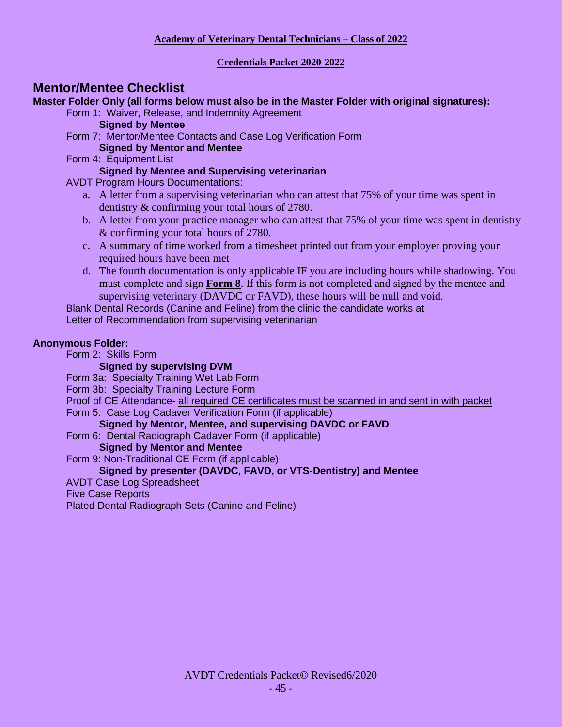### **Credentials Packet 2020-2022**

### **Mentor/Mentee Checklist**

**Master Folder Only (all forms below must also be in the Master Folder with original signatures):**

Form 1: Waiver, Release, and Indemnity Agreement **Signed by Mentee**

- Form 7: Mentor/Mentee Contacts and Case Log Verification Form **Signed by Mentor and Mentee**
- Form 4: Equipment List

### **Signed by Mentee and Supervising veterinarian**

AVDT Program Hours Documentations:

- a. A letter from a supervising veterinarian who can attest that 75% of your time was spent in dentistry & confirming your total hours of 2780.
- b. A letter from your practice manager who can attest that 75% of your time was spent in dentistry & confirming your total hours of 2780.
- c. A summary of time worked from a timesheet printed out from your employer proving your required hours have been met
- d. The fourth documentation is only applicable IF you are including hours while shadowing. You must complete and sign **Form 8**. If this form is not completed and signed by the mentee and supervising veterinary (DAVDC or FAVD), these hours will be null and void.

Blank Dental Records (Canine and Feline) from the clinic the candidate works at

Letter of Recommendation from supervising veterinarian

### **Anonymous Folder:**

Form 2: Skills Form

### **Signed by supervising DVM**

Form 3a: Specialty Training Wet Lab Form

Form 3b: Specialty Training Lecture Form

Proof of CE Attendance- all required CE certificates must be scanned in and sent in with packet Form 5: Case Log Cadaver Verification Form (if applicable)

### **Signed by Mentor, Mentee, and supervising DAVDC or FAVD**

Form 6: Dental Radiograph Cadaver Form (if applicable)

### **Signed by Mentor and Mentee**

Form 9: Non-Traditional CE Form (if applicable)

### **Signed by presenter (DAVDC, FAVD, or VTS-Dentistry) and Mentee**

AVDT Case Log Spreadsheet

### Five Case Reports

Plated Dental Radiograph Sets (Canine and Feline)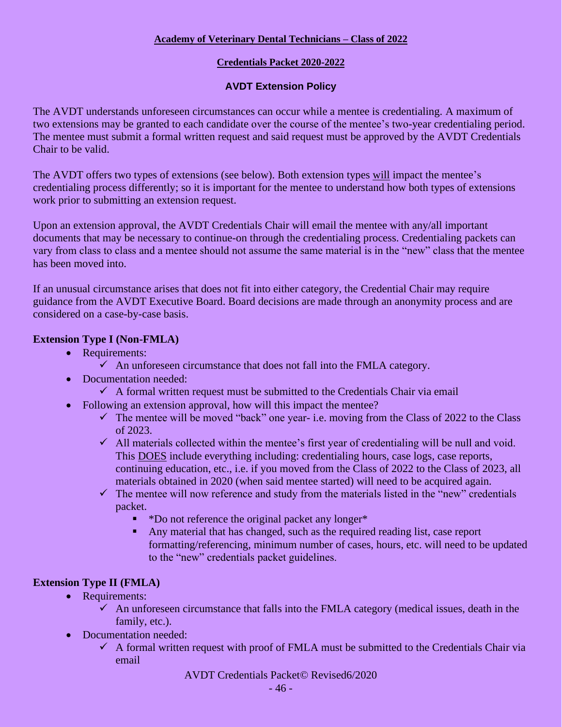### **Credentials Packet 2020-2022**

### **AVDT Extension Policy**

The AVDT understands unforeseen circumstances can occur while a mentee is credentialing. A maximum of two extensions may be granted to each candidate over the course of the mentee's two-year credentialing period. The mentee must submit a formal written request and said request must be approved by the AVDT Credentials Chair to be valid.

The AVDT offers two types of extensions (see below). Both extension types will impact the mentee's credentialing process differently; so it is important for the mentee to understand how both types of extensions work prior to submitting an extension request.

Upon an extension approval, the AVDT Credentials Chair will email the mentee with any/all important documents that may be necessary to continue-on through the credentialing process. Credentialing packets can vary from class to class and a mentee should not assume the same material is in the "new" class that the mentee has been moved into.

If an unusual circumstance arises that does not fit into either category, the Credential Chair may require guidance from the AVDT Executive Board. Board decisions are made through an anonymity process and are considered on a case-by-case basis.

### **Extension Type I (Non-FMLA)**

- Requirements:
	- $\checkmark$  An unforeseen circumstance that does not fall into the FMLA category.
- Documentation needed:
	- $\checkmark$  A formal written request must be submitted to the Credentials Chair via email
- Following an extension approval, how will this impact the mentee?
	- $\checkmark$  The mentee will be moved "back" one year- i.e. moving from the Class of 2022 to the Class of 2023.
	- ✓ All materials collected within the mentee's first year of credentialing will be null and void. This DOES include everything including: credentialing hours, case logs, case reports, continuing education, etc., i.e. if you moved from the Class of 2022 to the Class of 2023, all materials obtained in 2020 (when said mentee started) will need to be acquired again.
	- $\checkmark$  The mentee will now reference and study from the materials listed in the "new" credentials packet.
		- \*Do not reference the original packet any longer\*
		- Any material that has changed, such as the required reading list, case report formatting/referencing, minimum number of cases, hours, etc. will need to be updated to the "new" credentials packet guidelines.

### **Extension Type II (FMLA)**

- Requirements:
	- $\checkmark$  An unforeseen circumstance that falls into the FMLA category (medical issues, death in the family, etc.).
- Documentation needed:
	- $\checkmark$  A formal written request with proof of FMLA must be submitted to the Credentials Chair via email